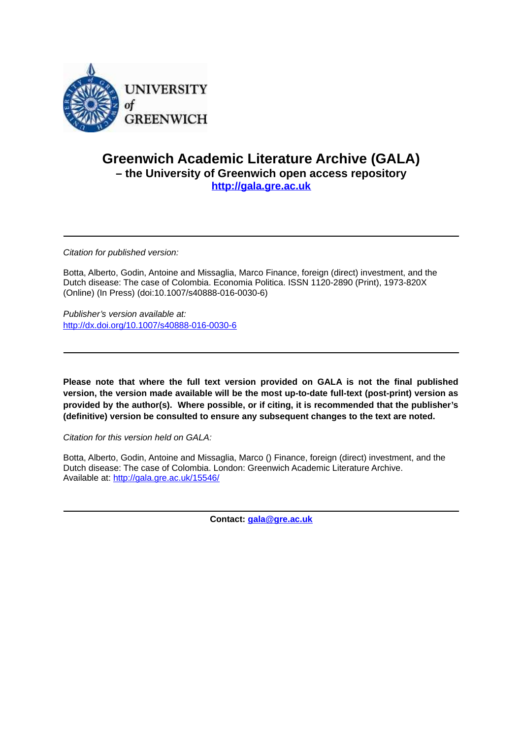

# **Greenwich Academic Literature Archive (GALA) – the University of Greenwich open access repository [http://gala.gre.ac.uk](http://gala.gre.ac.uk/)**

**\_\_\_\_\_\_\_\_\_\_\_\_\_\_\_\_\_\_\_\_\_\_\_\_\_\_\_\_\_\_\_\_\_\_\_\_\_\_\_\_\_\_\_\_\_\_\_\_\_\_\_\_\_\_\_\_\_\_\_\_\_\_\_\_\_\_\_\_\_\_\_\_\_\_\_\_\_\_\_\_\_\_\_\_\_\_\_\_\_\_**

*Citation for published version:*

Botta, Alberto, Godin, Antoine and Missaglia, Marco Finance, foreign (direct) investment, and the Dutch disease: The case of Colombia. Economia Politica. ISSN 1120-2890 (Print), 1973-820X (Online) (In Press) (doi:10.1007/s40888-016-0030-6)

*Publisher's version available at:* http://dx.doi.org/10.1007/s40888-016-0030-6

**Please note that where the full text version provided on GALA is not the final published version, the version made available will be the most up-to-date full-text (post-print) version as provided by the author(s). Where possible, or if citing, it is recommended that the publisher's (definitive) version be consulted to ensure any subsequent changes to the text are noted.**

**\_\_\_\_\_\_\_\_\_\_\_\_\_\_\_\_\_\_\_\_\_\_\_\_\_\_\_\_\_\_\_\_\_\_\_\_\_\_\_\_\_\_\_\_\_\_\_\_\_\_\_\_\_\_\_\_\_\_\_\_\_\_\_\_\_\_\_\_\_\_\_\_\_\_\_\_\_\_\_\_\_\_\_\_\_\_\_\_\_\_**

*Citation for this version held on GALA:*

Botta, Alberto, Godin, Antoine and Missaglia, Marco () Finance, foreign (direct) investment, and the Dutch disease: The case of Colombia. London: Greenwich Academic Literature Archive. Available at: http://gala.gre.ac.uk/15546/

**\_\_\_\_\_\_\_\_\_\_\_\_\_\_\_\_\_\_\_\_\_\_\_\_\_\_\_\_\_\_\_\_\_\_\_\_\_\_\_\_\_\_\_\_\_\_\_\_\_\_\_\_\_\_\_\_\_\_\_\_\_\_\_\_\_\_\_\_\_\_\_\_\_\_\_\_\_\_\_\_\_\_\_\_\_\_\_\_\_\_ Contact: [gala@gre.ac.uk](mailto:gala@gre.ac.uk)**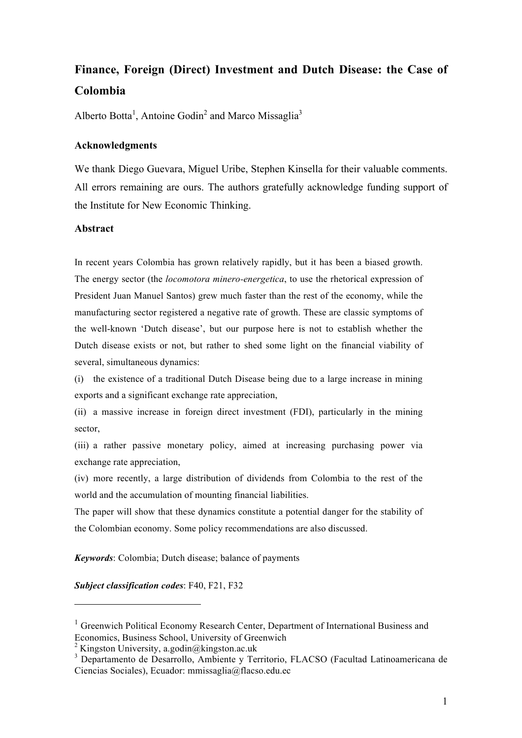# **Finance, Foreign (Direct) Investment and Dutch Disease: the Case of Colombia**

Alberto Botta<sup>1</sup>, Antoine Godin<sup>2</sup> and Marco Missaglia<sup>3</sup>

# **Acknowledgments**

We thank Diego Guevara, Miguel Uribe, Stephen Kinsella for their valuable comments. All errors remaining are ours. The authors gratefully acknowledge funding support of the Institute for New Economic Thinking.

# **Abstract**

In recent years Colombia has grown relatively rapidly, but it has been a biased growth. The energy sector (the *locomotora minero-energetica*, to use the rhetorical expression of President Juan Manuel Santos) grew much faster than the rest of the economy, while the manufacturing sector registered a negative rate of growth. These are classic symptoms of the well-known 'Dutch disease', but our purpose here is not to establish whether the Dutch disease exists or not, but rather to shed some light on the financial viability of several, simultaneous dynamics:

(i) the existence of a traditional Dutch Disease being due to a large increase in mining exports and a significant exchange rate appreciation,

(ii) a massive increase in foreign direct investment (FDI), particularly in the mining sector,

(iii) a rather passive monetary policy, aimed at increasing purchasing power via exchange rate appreciation,

(iv) more recently, a large distribution of dividends from Colombia to the rest of the world and the accumulation of mounting financial liabilities.

The paper will show that these dynamics constitute a potential danger for the stability of the Colombian economy. Some policy recommendations are also discussed.

*Keywords*: Colombia; Dutch disease; balance of payments

*Subject classification codes*: F40, F21, F32

 $\overline{a}$ 

<sup>&</sup>lt;sup>1</sup> Greenwich Political Economy Research Center, Department of International Business and Economics, Business School, University of Greenwich

<sup>&</sup>lt;sup>2</sup> Kingston University, a.godin@kingston.ac.uk

<sup>3</sup> Departamento de Desarrollo, Ambiente y Territorio, FLACSO (Facultad Latinoamericana de Ciencias Sociales), Ecuador: mmissaglia@flacso.edu.ec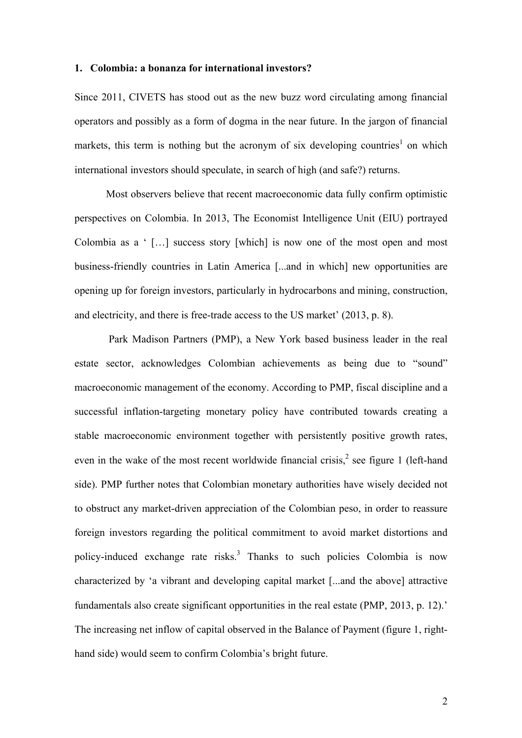# **1. Colombia: a bonanza for international investors?**

Since 2011, CIVETS has stood out as the new buzz word circulating among financial operators and possibly as a form of dogma in the near future. In the jargon of financial markets, this term is nothing but the acronym of six developing countries<sup>1</sup> on which international investors should speculate, in search of high (and safe?) returns.

Most observers believe that recent macroeconomic data fully confirm optimistic perspectives on Colombia. In 2013, The Economist Intelligence Unit (EIU) portrayed Colombia as a ' […] success story [which] is now one of the most open and most business-friendly countries in Latin America [...and in which] new opportunities are opening up for foreign investors, particularly in hydrocarbons and mining, construction, and electricity, and there is free-trade access to the US market' (2013, p. 8).

Park Madison Partners (PMP), a New York based business leader in the real estate sector, acknowledges Colombian achievements as being due to "sound" macroeconomic management of the economy. According to PMP, fiscal discipline and a successful inflation-targeting monetary policy have contributed towards creating a stable macroeconomic environment together with persistently positive growth rates, even in the wake of the most recent worldwide financial crisis, $<sup>2</sup>$  see figure 1 (left-hand</sup> side). PMP further notes that Colombian monetary authorities have wisely decided not to obstruct any market-driven appreciation of the Colombian peso, in order to reassure foreign investors regarding the political commitment to avoid market distortions and policy-induced exchange rate risks.<sup>3</sup> Thanks to such policies Colombia is now characterized by 'a vibrant and developing capital market [...and the above] attractive fundamentals also create significant opportunities in the real estate (PMP, 2013, p. 12).' The increasing net inflow of capital observed in the Balance of Payment (figure 1, righthand side) would seem to confirm Colombia's bright future.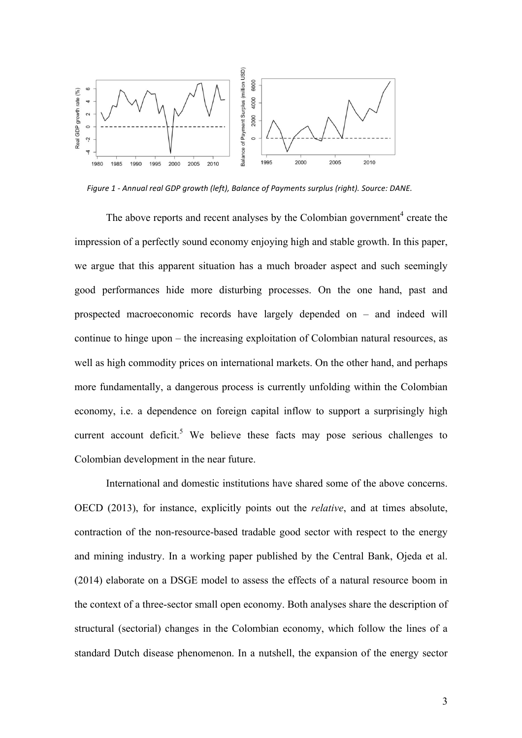

*Figure 1 ‐ Annual real GDP growth (left), Balance of Payments surplus (right). Source: DANE.*

The above reports and recent analyses by the Colombian government<sup>4</sup> create the impression of a perfectly sound economy enjoying high and stable growth. In this paper, we argue that this apparent situation has a much broader aspect and such seemingly good performances hide more disturbing processes. On the one hand, past and prospected macroeconomic records have largely depended on – and indeed will continue to hinge upon – the increasing exploitation of Colombian natural resources, as well as high commodity prices on international markets. On the other hand, and perhaps more fundamentally, a dangerous process is currently unfolding within the Colombian economy, i.e. a dependence on foreign capital inflow to support a surprisingly high current account deficit.<sup>5</sup> We believe these facts may pose serious challenges to Colombian development in the near future.

International and domestic institutions have shared some of the above concerns. OECD (2013), for instance, explicitly points out the *relative*, and at times absolute, contraction of the non-resource-based tradable good sector with respect to the energy and mining industry. In a working paper published by the Central Bank, Ojeda et al. (2014) elaborate on a DSGE model to assess the effects of a natural resource boom in the context of a three-sector small open economy. Both analyses share the description of structural (sectorial) changes in the Colombian economy, which follow the lines of a standard Dutch disease phenomenon. In a nutshell, the expansion of the energy sector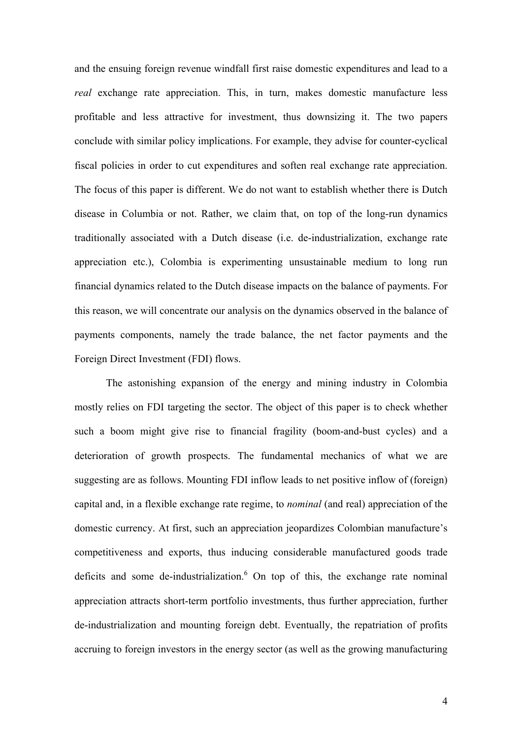and the ensuing foreign revenue windfall first raise domestic expenditures and lead to a *real* exchange rate appreciation. This, in turn, makes domestic manufacture less profitable and less attractive for investment, thus downsizing it. The two papers conclude with similar policy implications. For example, they advise for counter-cyclical fiscal policies in order to cut expenditures and soften real exchange rate appreciation. The focus of this paper is different. We do not want to establish whether there is Dutch disease in Columbia or not. Rather, we claim that, on top of the long-run dynamics traditionally associated with a Dutch disease (i.e. de-industrialization, exchange rate appreciation etc.), Colombia is experimenting unsustainable medium to long run financial dynamics related to the Dutch disease impacts on the balance of payments. For this reason, we will concentrate our analysis on the dynamics observed in the balance of payments components, namely the trade balance, the net factor payments and the Foreign Direct Investment (FDI) flows.

The astonishing expansion of the energy and mining industry in Colombia mostly relies on FDI targeting the sector. The object of this paper is to check whether such a boom might give rise to financial fragility (boom-and-bust cycles) and a deterioration of growth prospects. The fundamental mechanics of what we are suggesting are as follows. Mounting FDI inflow leads to net positive inflow of (foreign) capital and, in a flexible exchange rate regime, to *nominal* (and real) appreciation of the domestic currency. At first, such an appreciation jeopardizes Colombian manufacture's competitiveness and exports, thus inducing considerable manufactured goods trade deficits and some de-industrialization. $6$  On top of this, the exchange rate nominal appreciation attracts short-term portfolio investments, thus further appreciation, further de-industrialization and mounting foreign debt. Eventually, the repatriation of profits accruing to foreign investors in the energy sector (as well as the growing manufacturing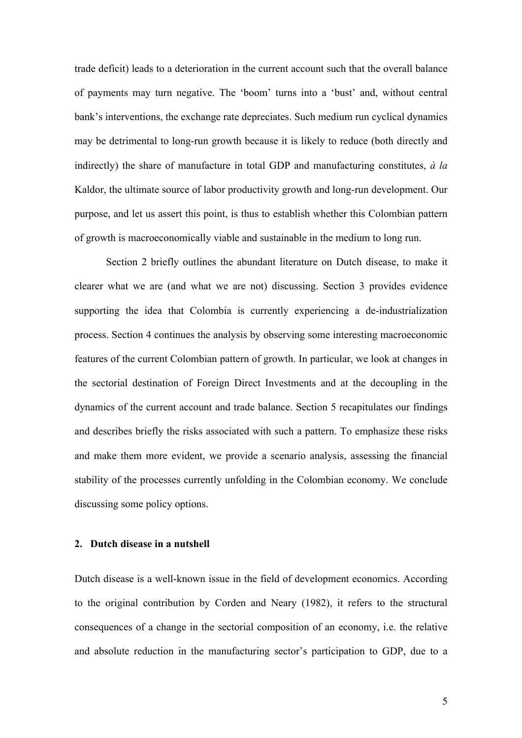trade deficit) leads to a deterioration in the current account such that the overall balance of payments may turn negative. The 'boom' turns into a 'bust' and, without central bank's interventions, the exchange rate depreciates. Such medium run cyclical dynamics may be detrimental to long-run growth because it is likely to reduce (both directly and indirectly) the share of manufacture in total GDP and manufacturing constitutes, *à la* Kaldor, the ultimate source of labor productivity growth and long-run development. Our purpose, and let us assert this point, is thus to establish whether this Colombian pattern of growth is macroeconomically viable and sustainable in the medium to long run.

Section 2 briefly outlines the abundant literature on Dutch disease, to make it clearer what we are (and what we are not) discussing. Section 3 provides evidence supporting the idea that Colombia is currently experiencing a de-industrialization process. Section 4 continues the analysis by observing some interesting macroeconomic features of the current Colombian pattern of growth. In particular, we look at changes in the sectorial destination of Foreign Direct Investments and at the decoupling in the dynamics of the current account and trade balance. Section 5 recapitulates our findings and describes briefly the risks associated with such a pattern. To emphasize these risks and make them more evident, we provide a scenario analysis, assessing the financial stability of the processes currently unfolding in the Colombian economy. We conclude discussing some policy options.

## **2. Dutch disease in a nutshell**

Dutch disease is a well-known issue in the field of development economics. According to the original contribution by Corden and Neary (1982), it refers to the structural consequences of a change in the sectorial composition of an economy, i.e. the relative and absolute reduction in the manufacturing sector's participation to GDP, due to a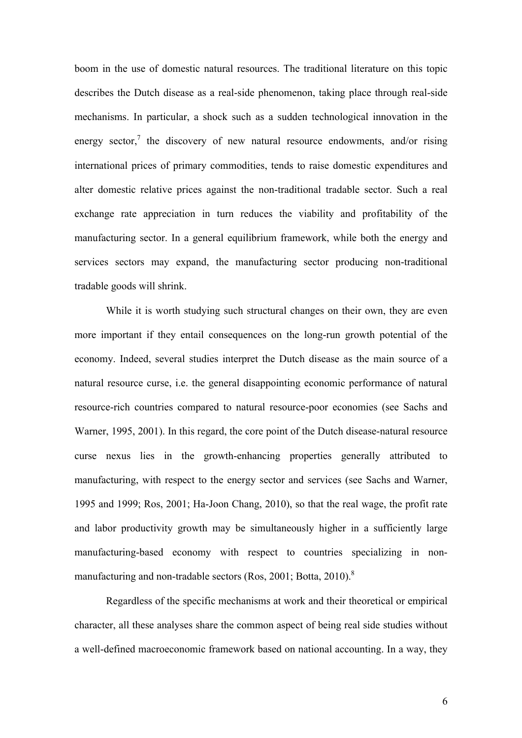boom in the use of domestic natural resources. The traditional literature on this topic describes the Dutch disease as a real-side phenomenon, taking place through real-side mechanisms. In particular, a shock such as a sudden technological innovation in the energy sector,<sup>7</sup> the discovery of new natural resource endowments, and/or rising international prices of primary commodities, tends to raise domestic expenditures and alter domestic relative prices against the non-traditional tradable sector. Such a real exchange rate appreciation in turn reduces the viability and profitability of the manufacturing sector. In a general equilibrium framework, while both the energy and services sectors may expand, the manufacturing sector producing non-traditional tradable goods will shrink.

While it is worth studying such structural changes on their own, they are even more important if they entail consequences on the long-run growth potential of the economy. Indeed, several studies interpret the Dutch disease as the main source of a natural resource curse, i.e. the general disappointing economic performance of natural resource-rich countries compared to natural resource-poor economies (see Sachs and Warner, 1995, 2001). In this regard, the core point of the Dutch disease-natural resource curse nexus lies in the growth-enhancing properties generally attributed to manufacturing, with respect to the energy sector and services (see Sachs and Warner, 1995 and 1999; Ros, 2001; Ha-Joon Chang, 2010), so that the real wage, the profit rate and labor productivity growth may be simultaneously higher in a sufficiently large manufacturing-based economy with respect to countries specializing in nonmanufacturing and non-tradable sectors (Ros, 2001; Botta, 2010).<sup>8</sup>

Regardless of the specific mechanisms at work and their theoretical or empirical character, all these analyses share the common aspect of being real side studies without a well-defined macroeconomic framework based on national accounting. In a way, they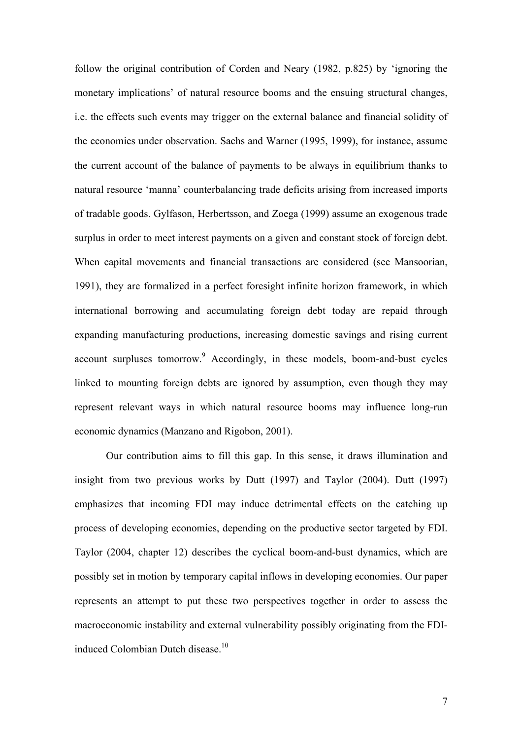follow the original contribution of Corden and Neary (1982, p.825) by 'ignoring the monetary implications' of natural resource booms and the ensuing structural changes, i.e. the effects such events may trigger on the external balance and financial solidity of the economies under observation. Sachs and Warner (1995, 1999), for instance, assume the current account of the balance of payments to be always in equilibrium thanks to natural resource 'manna' counterbalancing trade deficits arising from increased imports of tradable goods. Gylfason, Herbertsson, and Zoega (1999) assume an exogenous trade surplus in order to meet interest payments on a given and constant stock of foreign debt. When capital movements and financial transactions are considered (see Mansoorian, 1991), they are formalized in a perfect foresight infinite horizon framework, in which international borrowing and accumulating foreign debt today are repaid through expanding manufacturing productions, increasing domestic savings and rising current account surpluses tomorrow.<sup>9</sup> Accordingly, in these models, boom-and-bust cycles linked to mounting foreign debts are ignored by assumption, even though they may represent relevant ways in which natural resource booms may influence long-run economic dynamics (Manzano and Rigobon, 2001).

Our contribution aims to fill this gap. In this sense, it draws illumination and insight from two previous works by Dutt (1997) and Taylor (2004). Dutt (1997) emphasizes that incoming FDI may induce detrimental effects on the catching up process of developing economies, depending on the productive sector targeted by FDI. Taylor (2004, chapter 12) describes the cyclical boom-and-bust dynamics, which are possibly set in motion by temporary capital inflows in developing economies. Our paper represents an attempt to put these two perspectives together in order to assess the macroeconomic instability and external vulnerability possibly originating from the FDIinduced Colombian Dutch disease.<sup>10</sup>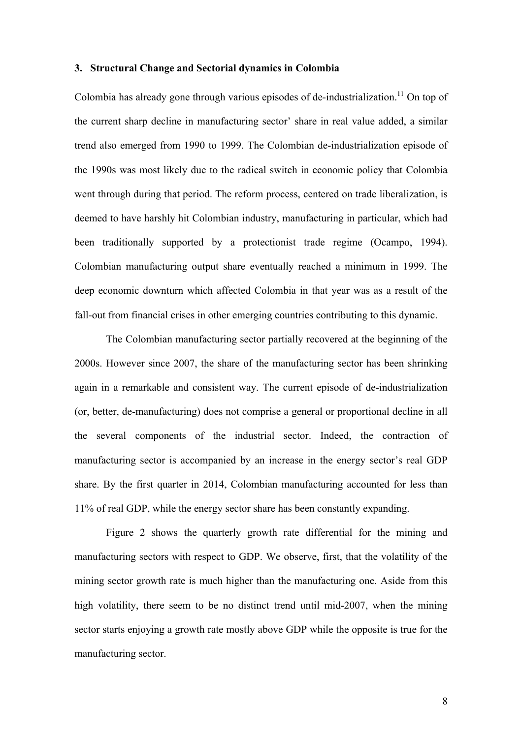# **3. Structural Change and Sectorial dynamics in Colombia**

Colombia has already gone through various episodes of de-industrialization.<sup>11</sup> On top of the current sharp decline in manufacturing sector' share in real value added, a similar trend also emerged from 1990 to 1999. The Colombian de-industrialization episode of the 1990s was most likely due to the radical switch in economic policy that Colombia went through during that period. The reform process, centered on trade liberalization, is deemed to have harshly hit Colombian industry, manufacturing in particular, which had been traditionally supported by a protectionist trade regime (Ocampo, 1994). Colombian manufacturing output share eventually reached a minimum in 1999. The deep economic downturn which affected Colombia in that year was as a result of the fall-out from financial crises in other emerging countries contributing to this dynamic.

The Colombian manufacturing sector partially recovered at the beginning of the 2000s. However since 2007, the share of the manufacturing sector has been shrinking again in a remarkable and consistent way. The current episode of de-industrialization (or, better, de-manufacturing) does not comprise a general or proportional decline in all the several components of the industrial sector. Indeed, the contraction of manufacturing sector is accompanied by an increase in the energy sector's real GDP share. By the first quarter in 2014, Colombian manufacturing accounted for less than 11% of real GDP, while the energy sector share has been constantly expanding.

Figure 2 shows the quarterly growth rate differential for the mining and manufacturing sectors with respect to GDP. We observe, first, that the volatility of the mining sector growth rate is much higher than the manufacturing one. Aside from this high volatility, there seem to be no distinct trend until mid-2007, when the mining sector starts enjoying a growth rate mostly above GDP while the opposite is true for the manufacturing sector.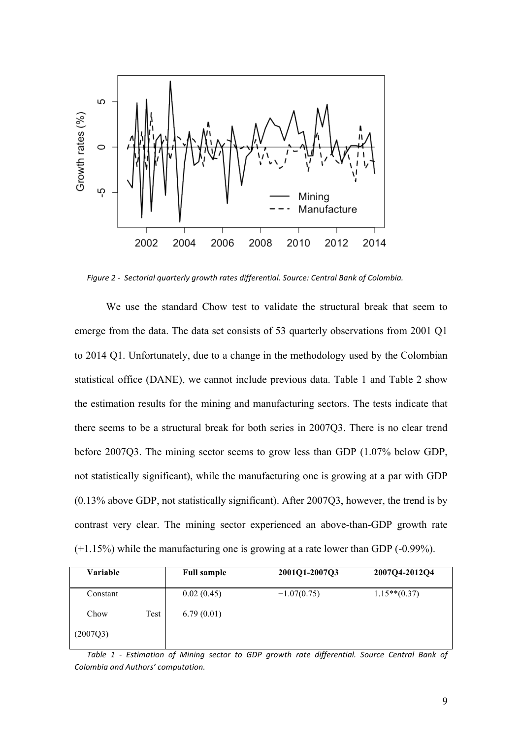

*Figure 2 ‐ Sectorial quarterly growth rates differential. Source: Central Bank of Colombia.*

We use the standard Chow test to validate the structural break that seem to emerge from the data. The data set consists of 53 quarterly observations from 2001 Q1 to 2014 Q1. Unfortunately, due to a change in the methodology used by the Colombian statistical office (DANE), we cannot include previous data. Table 1 and Table 2 show the estimation results for the mining and manufacturing sectors. The tests indicate that there seems to be a structural break for both series in 2007Q3. There is no clear trend before 2007Q3. The mining sector seems to grow less than GDP (1.07% below GDP, not statistically significant), while the manufacturing one is growing at a par with GDP (0.13% above GDP, not statistically significant). After 2007Q3, however, the trend is by contrast very clear. The mining sector experienced an above-than-GDP growth rate (+1.15%) while the manufacturing one is growing at a rate lower than GDP (-0.99%).

| Variable |      | <b>Full sample</b> | 2001Q1-2007Q3 | 2007Q4-2012Q4   |
|----------|------|--------------------|---------------|-----------------|
| Constant |      | 0.02(0.45)         | $-1.07(0.75)$ | $1.15**$ (0.37) |
| Chow     | Test | 6.79(0.01)         |               |                 |
| (2007Q3) |      |                    |               |                 |

*Table 1 ‐ Estimation of Mining sector to GDP growth rate differential. Source Central Bank of Colombia and Authors' computation.*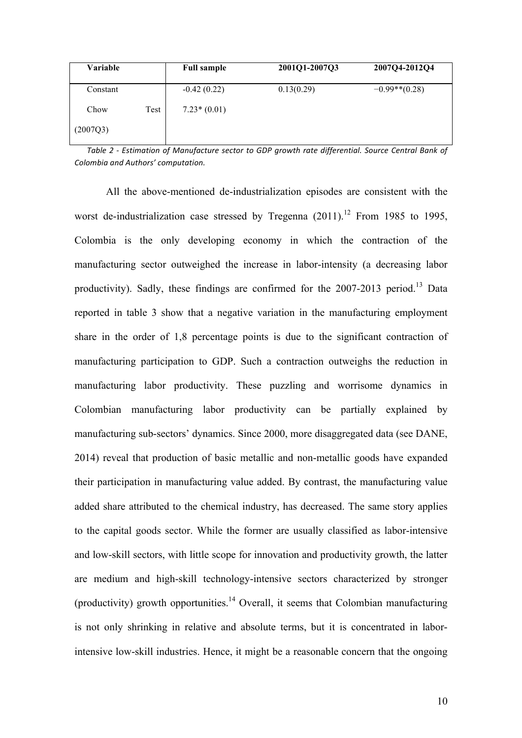| Variable |      | <b>Full sample</b> | 2001Q1-2007Q3 | 2007Q4-2012Q4    |
|----------|------|--------------------|---------------|------------------|
| Constant |      | $-0.42(0.22)$      | 0.13(0.29)    | $-0.99**$ (0.28) |
| Chow     | Test | $7.23*(0.01)$      |               |                  |
| (2007Q3) |      |                    |               |                  |

*Table 2 ‐ Estimation of Manufacture sector to GDP growth rate differential. Source Central Bank of Colombia and Authors' computation.*

All the above-mentioned de-industrialization episodes are consistent with the worst de-industrialization case stressed by Tregenna  $(2011)$ <sup>12</sup> From 1985 to 1995, Colombia is the only developing economy in which the contraction of the manufacturing sector outweighed the increase in labor-intensity (a decreasing labor productivity). Sadly, these findings are confirmed for the  $2007-2013$  period.<sup>13</sup> Data reported in table 3 show that a negative variation in the manufacturing employment share in the order of 1,8 percentage points is due to the significant contraction of manufacturing participation to GDP. Such a contraction outweighs the reduction in manufacturing labor productivity. These puzzling and worrisome dynamics in Colombian manufacturing labor productivity can be partially explained by manufacturing sub-sectors' dynamics. Since 2000, more disaggregated data (see DANE, 2014) reveal that production of basic metallic and non-metallic goods have expanded their participation in manufacturing value added. By contrast, the manufacturing value added share attributed to the chemical industry, has decreased. The same story applies to the capital goods sector. While the former are usually classified as labor-intensive and low-skill sectors, with little scope for innovation and productivity growth, the latter are medium and high-skill technology-intensive sectors characterized by stronger (productivity) growth opportunities.<sup>14</sup> Overall, it seems that Colombian manufacturing is not only shrinking in relative and absolute terms, but it is concentrated in laborintensive low-skill industries. Hence, it might be a reasonable concern that the ongoing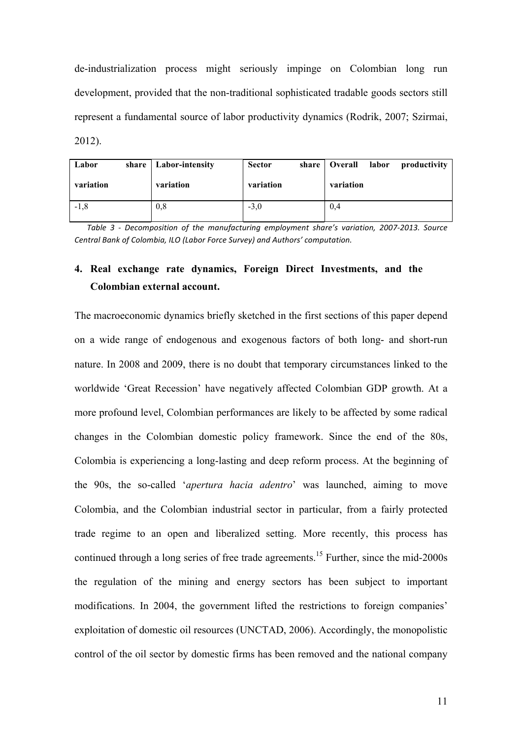de-industrialization process might seriously impinge on Colombian long run development, provided that the non-traditional sophisticated tradable goods sectors still represent a fundamental source of labor productivity dynamics (Rodrik, 2007; Szirmai, 2012).

| Labor     | share   Labor-intensity | <b>Sector</b> | share   Overall | labor | productivity |
|-----------|-------------------------|---------------|-----------------|-------|--------------|
| variation | variation               | variation     | variation       |       |              |
| $-1,8$    | 0.8                     | $-3.0$        | 0,4             |       |              |

*Table 3 ‐ Decomposition of the manufacturing employment share's variation, 2007‐2013. Source Central Bank of Colombia, ILO (Labor Force Survey) and Authors' computation.*

# **4. Real exchange rate dynamics, Foreign Direct Investments, and the Colombian external account.**

The macroeconomic dynamics briefly sketched in the first sections of this paper depend on a wide range of endogenous and exogenous factors of both long- and short-run nature. In 2008 and 2009, there is no doubt that temporary circumstances linked to the worldwide 'Great Recession' have negatively affected Colombian GDP growth. At a more profound level, Colombian performances are likely to be affected by some radical changes in the Colombian domestic policy framework. Since the end of the 80s, Colombia is experiencing a long-lasting and deep reform process. At the beginning of the 90s, the so-called '*apertura hacia adentro*' was launched, aiming to move Colombia, and the Colombian industrial sector in particular, from a fairly protected trade regime to an open and liberalized setting. More recently, this process has continued through a long series of free trade agreements.<sup>15</sup> Further, since the mid-2000s the regulation of the mining and energy sectors has been subject to important modifications. In 2004, the government lifted the restrictions to foreign companies' exploitation of domestic oil resources (UNCTAD, 2006). Accordingly, the monopolistic control of the oil sector by domestic firms has been removed and the national company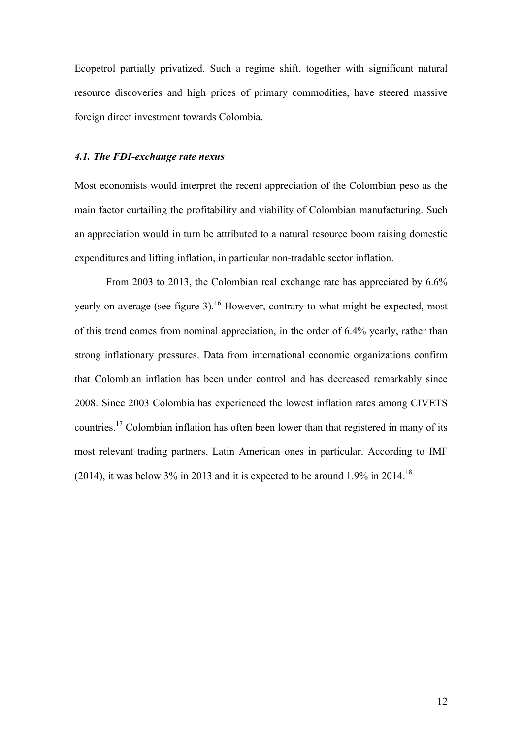Ecopetrol partially privatized. Such a regime shift, together with significant natural resource discoveries and high prices of primary commodities, have steered massive foreign direct investment towards Colombia.

# *4.1. The FDI-exchange rate nexus*

Most economists would interpret the recent appreciation of the Colombian peso as the main factor curtailing the profitability and viability of Colombian manufacturing. Such an appreciation would in turn be attributed to a natural resource boom raising domestic expenditures and lifting inflation, in particular non-tradable sector inflation.

From 2003 to 2013, the Colombian real exchange rate has appreciated by 6.6% yearly on average (see figure 3).<sup>16</sup> However, contrary to what might be expected, most of this trend comes from nominal appreciation, in the order of 6.4% yearly, rather than strong inflationary pressures. Data from international economic organizations confirm that Colombian inflation has been under control and has decreased remarkably since 2008. Since 2003 Colombia has experienced the lowest inflation rates among CIVETS countries.<sup>17</sup> Colombian inflation has often been lower than that registered in many of its most relevant trading partners, Latin American ones in particular. According to IMF (2014), it was below  $3\%$  in 2013 and it is expected to be around 1.9% in 2014.<sup>18</sup>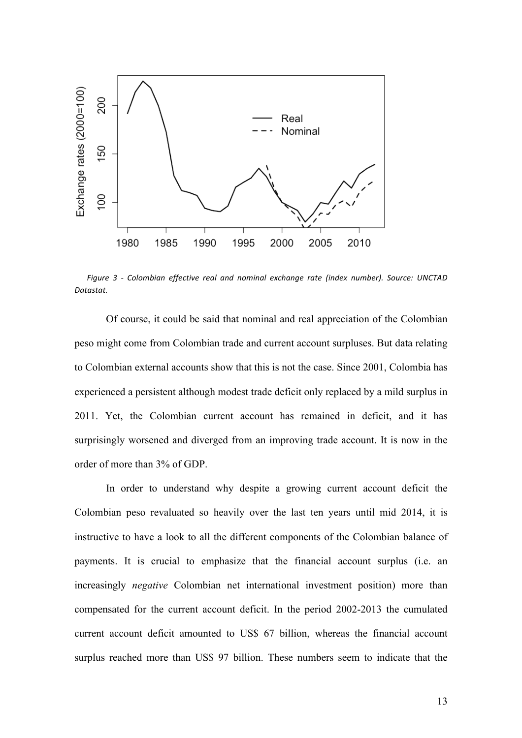

*Figure 3 ‐ Colombian effective real and nominal exchange rate (index number). Source: UNCTAD Datastat.*

Of course, it could be said that nominal and real appreciation of the Colombian peso might come from Colombian trade and current account surpluses. But data relating to Colombian external accounts show that this is not the case. Since 2001, Colombia has experienced a persistent although modest trade deficit only replaced by a mild surplus in 2011. Yet, the Colombian current account has remained in deficit, and it has surprisingly worsened and diverged from an improving trade account. It is now in the order of more than 3% of GDP.

In order to understand why despite a growing current account deficit the Colombian peso revaluated so heavily over the last ten years until mid 2014, it is instructive to have a look to all the different components of the Colombian balance of payments. It is crucial to emphasize that the financial account surplus (i.e. an increasingly *negative* Colombian net international investment position) more than compensated for the current account deficit. In the period 2002-2013 the cumulated current account deficit amounted to US\$ 67 billion, whereas the financial account surplus reached more than US\$ 97 billion. These numbers seem to indicate that the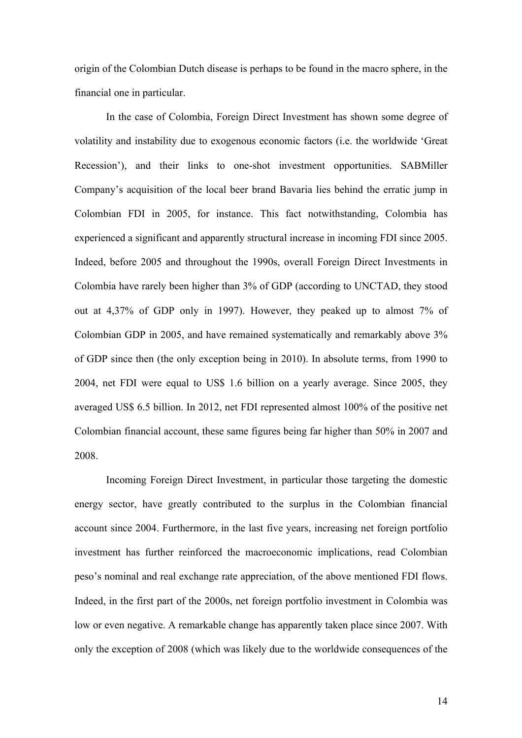origin of the Colombian Dutch disease is perhaps to be found in the macro sphere, in the financial one in particular.

In the case of Colombia, Foreign Direct Investment has shown some degree of volatility and instability due to exogenous economic factors (i.e. the worldwide 'Great Recession'), and their links to one-shot investment opportunities. SABMiller Company's acquisition of the local beer brand Bavaria lies behind the erratic jump in Colombian FDI in 2005, for instance. This fact notwithstanding, Colombia has experienced a significant and apparently structural increase in incoming FDI since 2005. Indeed, before 2005 and throughout the 1990s, overall Foreign Direct Investments in Colombia have rarely been higher than 3% of GDP (according to UNCTAD, they stood out at 4,37% of GDP only in 1997). However, they peaked up to almost 7% of Colombian GDP in 2005, and have remained systematically and remarkably above 3% of GDP since then (the only exception being in 2010). In absolute terms, from 1990 to 2004, net FDI were equal to US\$ 1.6 billion on a yearly average. Since 2005, they averaged US\$ 6.5 billion. In 2012, net FDI represented almost 100% of the positive net Colombian financial account, these same figures being far higher than 50% in 2007 and 2008.

Incoming Foreign Direct Investment, in particular those targeting the domestic energy sector, have greatly contributed to the surplus in the Colombian financial account since 2004. Furthermore, in the last five years, increasing net foreign portfolio investment has further reinforced the macroeconomic implications, read Colombian peso's nominal and real exchange rate appreciation, of the above mentioned FDI flows. Indeed, in the first part of the 2000s, net foreign portfolio investment in Colombia was low or even negative. A remarkable change has apparently taken place since 2007. With only the exception of 2008 (which was likely due to the worldwide consequences of the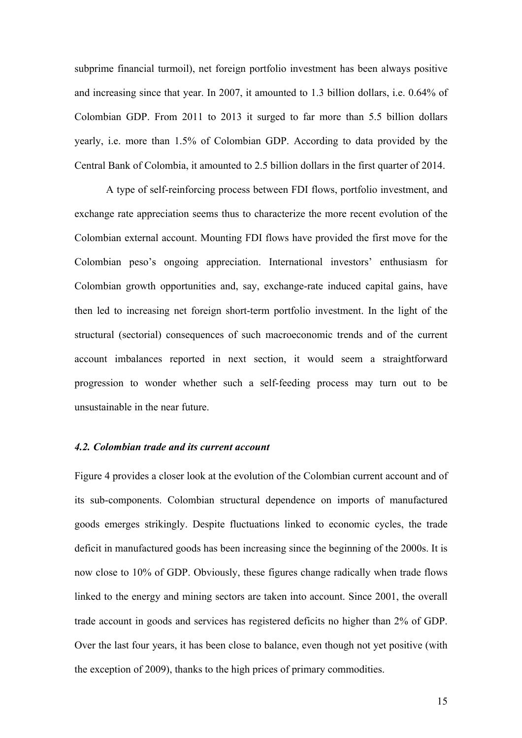subprime financial turmoil), net foreign portfolio investment has been always positive and increasing since that year. In 2007, it amounted to 1.3 billion dollars, i.e. 0.64% of Colombian GDP. From 2011 to 2013 it surged to far more than 5.5 billion dollars yearly, i.e. more than 1.5% of Colombian GDP. According to data provided by the Central Bank of Colombia, it amounted to 2.5 billion dollars in the first quarter of 2014.

A type of self-reinforcing process between FDI flows, portfolio investment, and exchange rate appreciation seems thus to characterize the more recent evolution of the Colombian external account. Mounting FDI flows have provided the first move for the Colombian peso's ongoing appreciation. International investors' enthusiasm for Colombian growth opportunities and, say, exchange-rate induced capital gains, have then led to increasing net foreign short-term portfolio investment. In the light of the structural (sectorial) consequences of such macroeconomic trends and of the current account imbalances reported in next section, it would seem a straightforward progression to wonder whether such a self-feeding process may turn out to be unsustainable in the near future.

#### *4.2. Colombian trade and its current account*

Figure 4 provides a closer look at the evolution of the Colombian current account and of its sub-components. Colombian structural dependence on imports of manufactured goods emerges strikingly. Despite fluctuations linked to economic cycles, the trade deficit in manufactured goods has been increasing since the beginning of the 2000s. It is now close to 10% of GDP. Obviously, these figures change radically when trade flows linked to the energy and mining sectors are taken into account. Since 2001, the overall trade account in goods and services has registered deficits no higher than 2% of GDP. Over the last four years, it has been close to balance, even though not yet positive (with the exception of 2009), thanks to the high prices of primary commodities.

15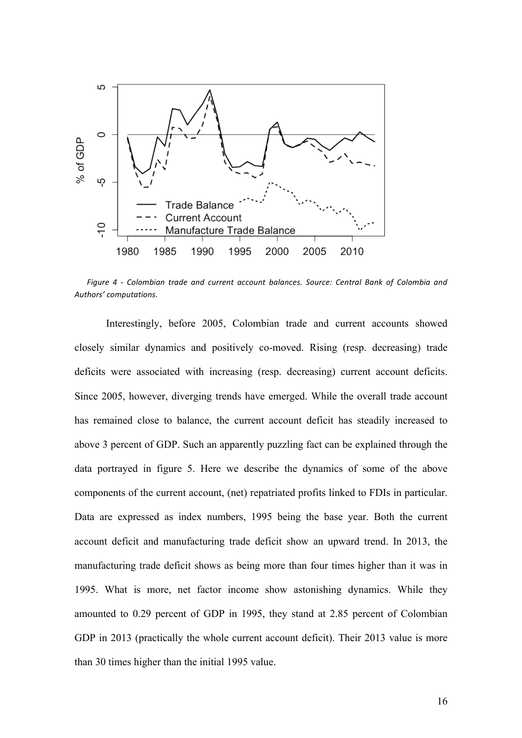

*Figure 4 ‐ Colombian trade and current account balances. Source: Central Bank of Colombia and Authors' computations.*

Interestingly, before 2005, Colombian trade and current accounts showed closely similar dynamics and positively co-moved. Rising (resp. decreasing) trade deficits were associated with increasing (resp. decreasing) current account deficits. Since 2005, however, diverging trends have emerged. While the overall trade account has remained close to balance, the current account deficit has steadily increased to above 3 percent of GDP. Such an apparently puzzling fact can be explained through the data portrayed in figure 5. Here we describe the dynamics of some of the above components of the current account, (net) repatriated profits linked to FDIs in particular. Data are expressed as index numbers, 1995 being the base year. Both the current account deficit and manufacturing trade deficit show an upward trend. In 2013, the manufacturing trade deficit shows as being more than four times higher than it was in 1995. What is more, net factor income show astonishing dynamics. While they amounted to 0.29 percent of GDP in 1995, they stand at 2.85 percent of Colombian GDP in 2013 (practically the whole current account deficit). Their 2013 value is more than 30 times higher than the initial 1995 value.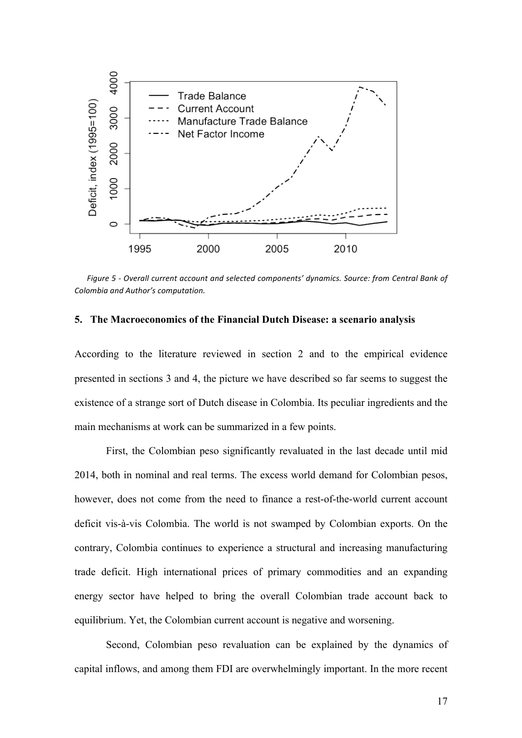

*Figure 5 ‐ Overall current account and selected components' dynamics. Source: from Central Bank of Colombia and Author's computation.*

### **5. The Macroeconomics of the Financial Dutch Disease: a scenario analysis**

According to the literature reviewed in section 2 and to the empirical evidence presented in sections 3 and 4, the picture we have described so far seems to suggest the existence of a strange sort of Dutch disease in Colombia. Its peculiar ingredients and the main mechanisms at work can be summarized in a few points.

First, the Colombian peso significantly revaluated in the last decade until mid 2014, both in nominal and real terms. The excess world demand for Colombian pesos, however, does not come from the need to finance a rest-of-the-world current account deficit vis-à-vis Colombia. The world is not swamped by Colombian exports. On the contrary, Colombia continues to experience a structural and increasing manufacturing trade deficit. High international prices of primary commodities and an expanding energy sector have helped to bring the overall Colombian trade account back to equilibrium. Yet, the Colombian current account is negative and worsening.

Second, Colombian peso revaluation can be explained by the dynamics of capital inflows, and among them FDI are overwhelmingly important. In the more recent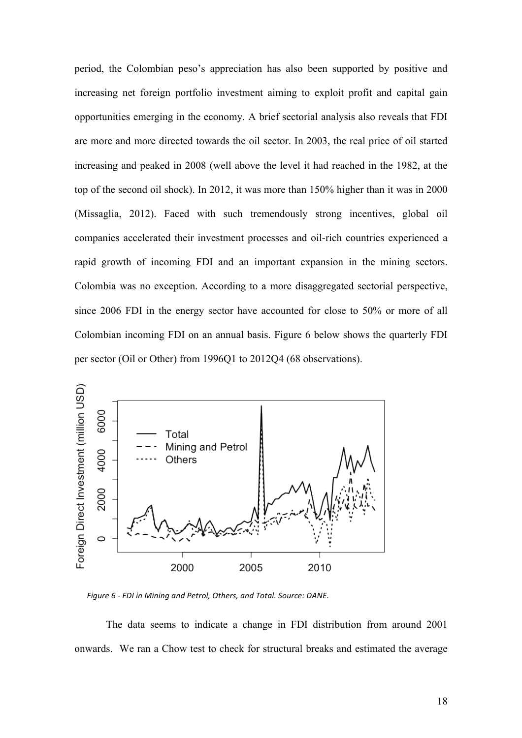period, the Colombian peso's appreciation has also been supported by positive and increasing net foreign portfolio investment aiming to exploit profit and capital gain opportunities emerging in the economy. A brief sectorial analysis also reveals that FDI are more and more directed towards the oil sector. In 2003, the real price of oil started increasing and peaked in 2008 (well above the level it had reached in the 1982, at the top of the second oil shock). In 2012, it was more than 150% higher than it was in 2000 (Missaglia, 2012). Faced with such tremendously strong incentives, global oil companies accelerated their investment processes and oil-rich countries experienced a rapid growth of incoming FDI and an important expansion in the mining sectors. Colombia was no exception. According to a more disaggregated sectorial perspective, since 2006 FDI in the energy sector have accounted for close to 50% or more of all Colombian incoming FDI on an annual basis. Figure 6 below shows the quarterly FDI per sector (Oil or Other) from 1996Q1 to 2012Q4 (68 observations).



*Figure 6 ‐ FDI in Mining and Petrol, Others, and Total. Source: DANE.*

The data seems to indicate a change in FDI distribution from around 2001 onwards. We ran a Chow test to check for structural breaks and estimated the average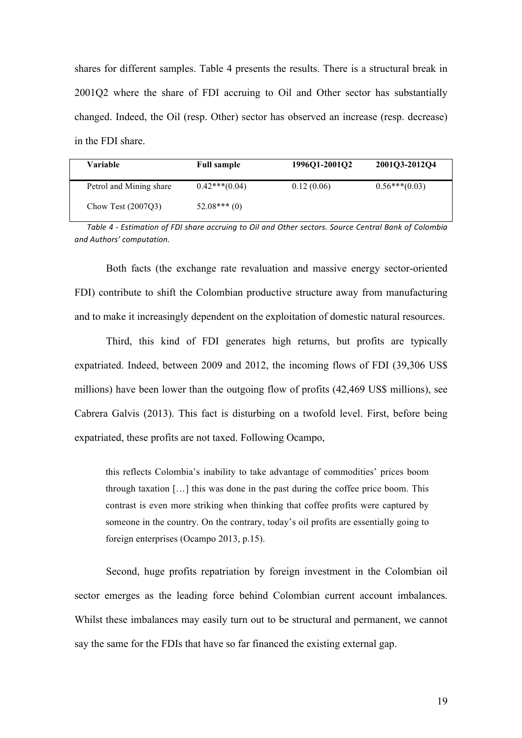shares for different samples. Table 4 presents the results. There is a structural break in 2001Q2 where the share of FDI accruing to Oil and Other sector has substantially changed. Indeed, the Oil (resp. Other) sector has observed an increase (resp. decrease) in the FDI share.

| Variable                | <b>Full sample</b>  | 199601-200102 | 200103-201204   |
|-------------------------|---------------------|---------------|-----------------|
| Petrol and Mining share | $0.42$ *** $(0.04)$ | 0.12(0.06)    | $0.56***(0.03)$ |
| Chow Test $(2007Q3)$    | $52.08***(0)$       |               |                 |

*Table 4 ‐ Estimation of FDI share accruing to Oil and Other sectors. Source Central Bank of Colombia and Authors' computation.*

Both facts (the exchange rate revaluation and massive energy sector-oriented FDI) contribute to shift the Colombian productive structure away from manufacturing and to make it increasingly dependent on the exploitation of domestic natural resources.

Third, this kind of FDI generates high returns, but profits are typically expatriated. Indeed, between 2009 and 2012, the incoming flows of FDI (39,306 US\$ millions) have been lower than the outgoing flow of profits (42,469 US\$ millions), see Cabrera Galvis (2013). This fact is disturbing on a twofold level. First, before being expatriated, these profits are not taxed. Following Ocampo,

this reflects Colombia's inability to take advantage of commodities' prices boom through taxation […] this was done in the past during the coffee price boom. This contrast is even more striking when thinking that coffee profits were captured by someone in the country. On the contrary, today's oil profits are essentially going to foreign enterprises (Ocampo 2013, p.15).

Second, huge profits repatriation by foreign investment in the Colombian oil sector emerges as the leading force behind Colombian current account imbalances. Whilst these imbalances may easily turn out to be structural and permanent, we cannot say the same for the FDIs that have so far financed the existing external gap.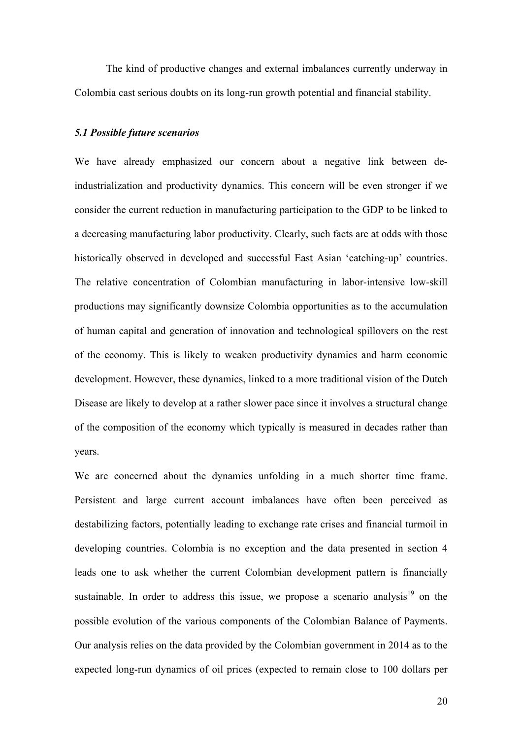The kind of productive changes and external imbalances currently underway in Colombia cast serious doubts on its long-run growth potential and financial stability.

#### *5.1 Possible future scenarios*

We have already emphasized our concern about a negative link between deindustrialization and productivity dynamics. This concern will be even stronger if we consider the current reduction in manufacturing participation to the GDP to be linked to a decreasing manufacturing labor productivity. Clearly, such facts are at odds with those historically observed in developed and successful East Asian 'catching-up' countries. The relative concentration of Colombian manufacturing in labor-intensive low-skill productions may significantly downsize Colombia opportunities as to the accumulation of human capital and generation of innovation and technological spillovers on the rest of the economy. This is likely to weaken productivity dynamics and harm economic development. However, these dynamics, linked to a more traditional vision of the Dutch Disease are likely to develop at a rather slower pace since it involves a structural change of the composition of the economy which typically is measured in decades rather than years.

We are concerned about the dynamics unfolding in a much shorter time frame. Persistent and large current account imbalances have often been perceived as destabilizing factors, potentially leading to exchange rate crises and financial turmoil in developing countries. Colombia is no exception and the data presented in section 4 leads one to ask whether the current Colombian development pattern is financially sustainable. In order to address this issue, we propose a scenario analysis<sup>19</sup> on the possible evolution of the various components of the Colombian Balance of Payments. Our analysis relies on the data provided by the Colombian government in 2014 as to the expected long-run dynamics of oil prices (expected to remain close to 100 dollars per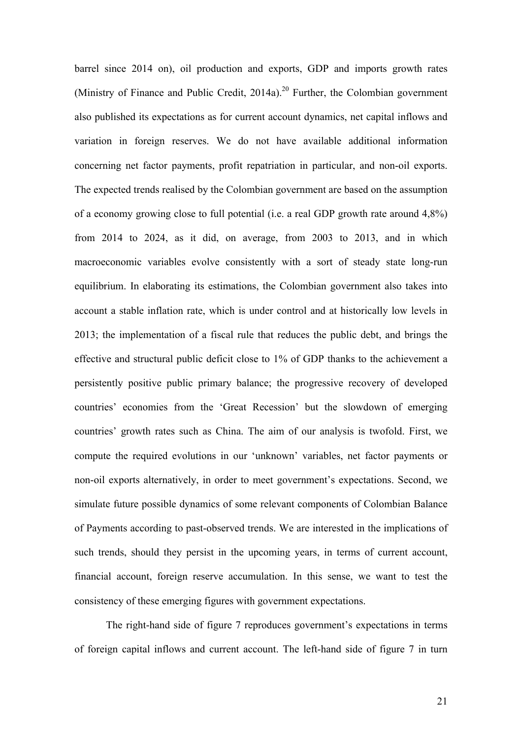barrel since 2014 on), oil production and exports, GDP and imports growth rates (Ministry of Finance and Public Credit,  $2014a$ ).<sup>20</sup> Further, the Colombian government also published its expectations as for current account dynamics, net capital inflows and variation in foreign reserves. We do not have available additional information concerning net factor payments, profit repatriation in particular, and non-oil exports. The expected trends realised by the Colombian government are based on the assumption of a economy growing close to full potential (i.e. a real GDP growth rate around 4,8%) from 2014 to 2024, as it did, on average, from 2003 to 2013, and in which macroeconomic variables evolve consistently with a sort of steady state long-run equilibrium. In elaborating its estimations, the Colombian government also takes into account a stable inflation rate, which is under control and at historically low levels in 2013; the implementation of a fiscal rule that reduces the public debt, and brings the effective and structural public deficit close to 1% of GDP thanks to the achievement a persistently positive public primary balance; the progressive recovery of developed countries' economies from the 'Great Recession' but the slowdown of emerging countries' growth rates such as China. The aim of our analysis is twofold. First, we compute the required evolutions in our 'unknown' variables, net factor payments or non-oil exports alternatively, in order to meet government's expectations. Second, we simulate future possible dynamics of some relevant components of Colombian Balance of Payments according to past-observed trends. We are interested in the implications of such trends, should they persist in the upcoming years, in terms of current account, financial account, foreign reserve accumulation. In this sense, we want to test the consistency of these emerging figures with government expectations.

The right-hand side of figure 7 reproduces government's expectations in terms of foreign capital inflows and current account. The left-hand side of figure 7 in turn

21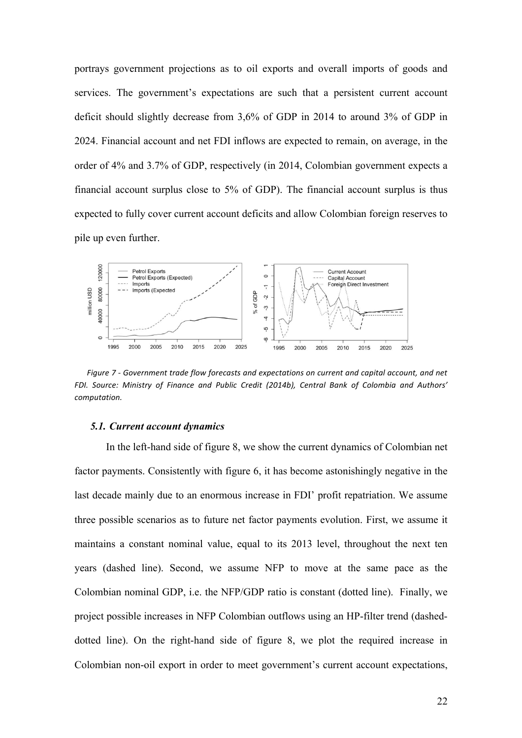portrays government projections as to oil exports and overall imports of goods and services. The government's expectations are such that a persistent current account deficit should slightly decrease from 3,6% of GDP in 2014 to around 3% of GDP in 2024. Financial account and net FDI inflows are expected to remain, on average, in the order of 4% and 3.7% of GDP, respectively (in 2014, Colombian government expects a financial account surplus close to 5% of GDP). The financial account surplus is thus expected to fully cover current account deficits and allow Colombian foreign reserves to pile up even further.



*Figure 7 ‐ Government trade flow forecasts and expectations on current and capital account, and net FDI. Source: Ministry of Finance and Public Credit (2014b), Central Bank of Colombia and Authors' computation.*

#### *5.1. Current account dynamics*

In the left-hand side of figure 8, we show the current dynamics of Colombian net factor payments. Consistently with figure 6, it has become astonishingly negative in the last decade mainly due to an enormous increase in FDI' profit repatriation. We assume three possible scenarios as to future net factor payments evolution. First, we assume it maintains a constant nominal value, equal to its 2013 level, throughout the next ten years (dashed line). Second, we assume NFP to move at the same pace as the Colombian nominal GDP, i.e. the NFP/GDP ratio is constant (dotted line). Finally, we project possible increases in NFP Colombian outflows using an HP-filter trend (dasheddotted line). On the right-hand side of figure 8, we plot the required increase in Colombian non-oil export in order to meet government's current account expectations,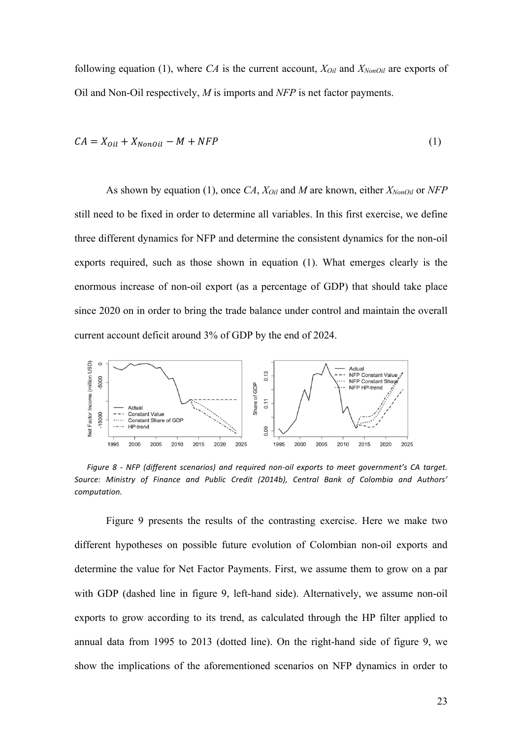following equation (1), where *CA* is the current account,  $X_{Oil}$  and  $X_{NonOil}$  are exports of Oil and Non-Oil respectively, *M* is imports and *NFP* is net factor payments.

$$
CA = X_{oil} + X_{NonOil} - M + NFP
$$
\n<sup>(1)</sup>

As shown by equation (1), once *CA*, *XOil* and *M* are known, either *XNonOil* or *NFP* still need to be fixed in order to determine all variables. In this first exercise, we define three different dynamics for NFP and determine the consistent dynamics for the non-oil exports required, such as those shown in equation (1). What emerges clearly is the enormous increase of non-oil export (as a percentage of GDP) that should take place since 2020 on in order to bring the trade balance under control and maintain the overall current account deficit around 3% of GDP by the end of 2024.



*Figure 8 ‐ NFP (different scenarios) and required non‐oil exports to meet government's CA target. Source: Ministry of Finance and Public Credit (2014b), Central Bank of Colombia and Authors' computation.*

Figure 9 presents the results of the contrasting exercise. Here we make two different hypotheses on possible future evolution of Colombian non-oil exports and determine the value for Net Factor Payments. First, we assume them to grow on a par with GDP (dashed line in figure 9, left-hand side). Alternatively, we assume non-oil exports to grow according to its trend, as calculated through the HP filter applied to annual data from 1995 to 2013 (dotted line). On the right-hand side of figure 9, we show the implications of the aforementioned scenarios on NFP dynamics in order to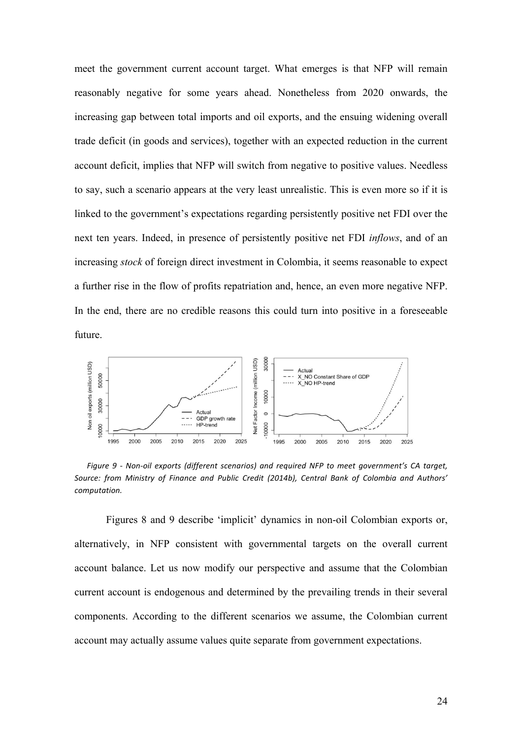meet the government current account target. What emerges is that NFP will remain reasonably negative for some years ahead. Nonetheless from 2020 onwards, the increasing gap between total imports and oil exports, and the ensuing widening overall trade deficit (in goods and services), together with an expected reduction in the current account deficit, implies that NFP will switch from negative to positive values. Needless to say, such a scenario appears at the very least unrealistic. This is even more so if it is linked to the government's expectations regarding persistently positive net FDI over the next ten years. Indeed, in presence of persistently positive net FDI *inflows*, and of an increasing *stock* of foreign direct investment in Colombia, it seems reasonable to expect a further rise in the flow of profits repatriation and, hence, an even more negative NFP. In the end, there are no credible reasons this could turn into positive in a foreseeable future.



*Figure 9 ‐ Non‐oil exports (different scenarios) and required NFP to meet government's CA target, Source: from Ministry of Finance and Public Credit (2014b), Central Bank of Colombia and Authors' computation.*

Figures 8 and 9 describe 'implicit' dynamics in non-oil Colombian exports or, alternatively, in NFP consistent with governmental targets on the overall current account balance. Let us now modify our perspective and assume that the Colombian current account is endogenous and determined by the prevailing trends in their several components. According to the different scenarios we assume, the Colombian current account may actually assume values quite separate from government expectations.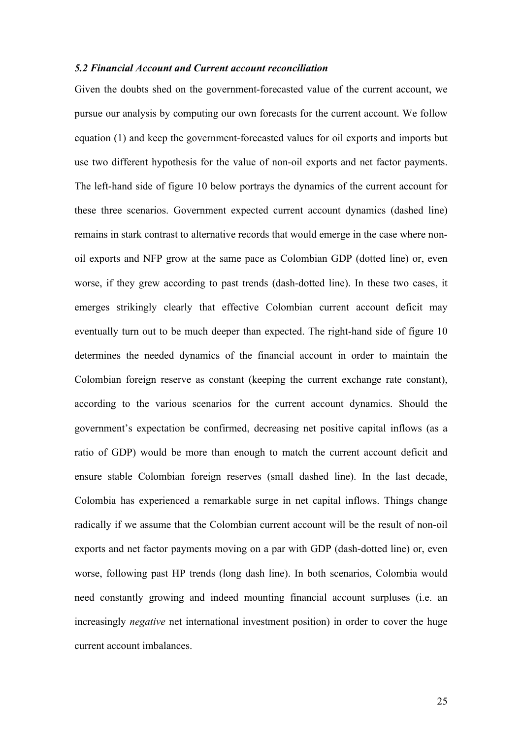# *5.2 Financial Account and Current account reconciliation*

Given the doubts shed on the government-forecasted value of the current account, we pursue our analysis by computing our own forecasts for the current account. We follow equation (1) and keep the government-forecasted values for oil exports and imports but use two different hypothesis for the value of non-oil exports and net factor payments. The left-hand side of figure 10 below portrays the dynamics of the current account for these three scenarios. Government expected current account dynamics (dashed line) remains in stark contrast to alternative records that would emerge in the case where nonoil exports and NFP grow at the same pace as Colombian GDP (dotted line) or, even worse, if they grew according to past trends (dash-dotted line). In these two cases, it emerges strikingly clearly that effective Colombian current account deficit may eventually turn out to be much deeper than expected. The right-hand side of figure 10 determines the needed dynamics of the financial account in order to maintain the Colombian foreign reserve as constant (keeping the current exchange rate constant), according to the various scenarios for the current account dynamics. Should the government's expectation be confirmed, decreasing net positive capital inflows (as a ratio of GDP) would be more than enough to match the current account deficit and ensure stable Colombian foreign reserves (small dashed line). In the last decade, Colombia has experienced a remarkable surge in net capital inflows. Things change radically if we assume that the Colombian current account will be the result of non-oil exports and net factor payments moving on a par with GDP (dash-dotted line) or, even worse, following past HP trends (long dash line). In both scenarios, Colombia would need constantly growing and indeed mounting financial account surpluses (i.e. an increasingly *negative* net international investment position) in order to cover the huge current account imbalances.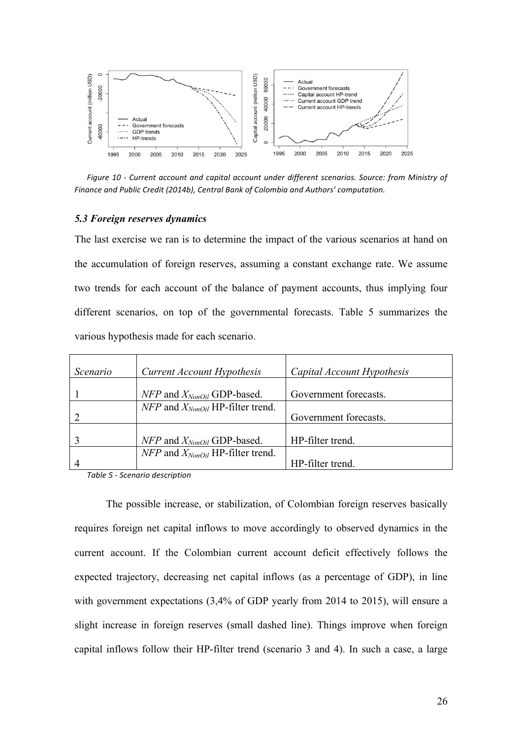

*Figure 10 ‐ Current account and capital account under different scenarios. Source: from Ministry of Finance and Public Credit (2014b), Central Bank of Colombia and Authors' computation.*

#### *5.3 Foreign reserves dynamics*

The last exercise we ran is to determine the impact of the various scenarios at hand on the accumulation of foreign reserves, assuming a constant exchange rate. We assume two trends for each account of the balance of payment accounts, thus implying four different scenarios, on top of the governmental forecasts. Table 5 summarizes the various hypothesis made for each scenario.

| Scenario | <b>Current Account Hypothesis</b>            | Capital Account Hypothesis |
|----------|----------------------------------------------|----------------------------|
|          | <i>NFP</i> and $X_{NonOil}$ GDP-based.       | Government forecasts.      |
|          | <i>NFP</i> and $X_{NonOil}$ HP-filter trend. | Government forecasts.      |
|          | <i>NFP</i> and $X_{NonOil}$ GDP-based.       | HP-filter trend.           |
|          | <i>NFP</i> and $X_{NonOil}$ HP-filter trend. |                            |
|          |                                              | HP-filter trend.           |

*Table 5 ‐ Scenario description*

The possible increase, or stabilization, of Colombian foreign reserves basically requires foreign net capital inflows to move accordingly to observed dynamics in the current account. If the Colombian current account deficit effectively follows the expected trajectory, decreasing net capital inflows (as a percentage of GDP), in line with government expectations (3,4% of GDP yearly from 2014 to 2015), will ensure a slight increase in foreign reserves (small dashed line). Things improve when foreign capital inflows follow their HP-filter trend (scenario 3 and 4). In such a case, a large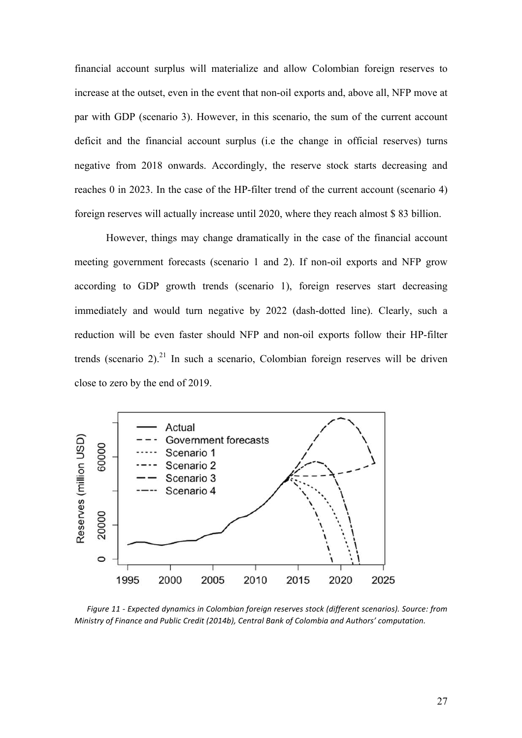financial account surplus will materialize and allow Colombian foreign reserves to increase at the outset, even in the event that non-oil exports and, above all, NFP move at par with GDP (scenario 3). However, in this scenario, the sum of the current account deficit and the financial account surplus (i.e the change in official reserves) turns negative from 2018 onwards. Accordingly, the reserve stock starts decreasing and reaches 0 in 2023. In the case of the HP-filter trend of the current account (scenario 4) foreign reserves will actually increase until 2020, where they reach almost \$ 83 billion.

However, things may change dramatically in the case of the financial account meeting government forecasts (scenario 1 and 2). If non-oil exports and NFP grow according to GDP growth trends (scenario 1), foreign reserves start decreasing immediately and would turn negative by 2022 (dash-dotted line). Clearly, such a reduction will be even faster should NFP and non-oil exports follow their HP-filter trends (scenario  $2$ ).<sup>21</sup> In such a scenario, Colombian foreign reserves will be driven close to zero by the end of 2019.



*Figure 11 ‐ Expected dynamics in Colombian foreign reserves stock (different scenarios). Source: from Ministry of Finance and Public Credit (2014b), Central Bank of Colombia and Authors' computation.*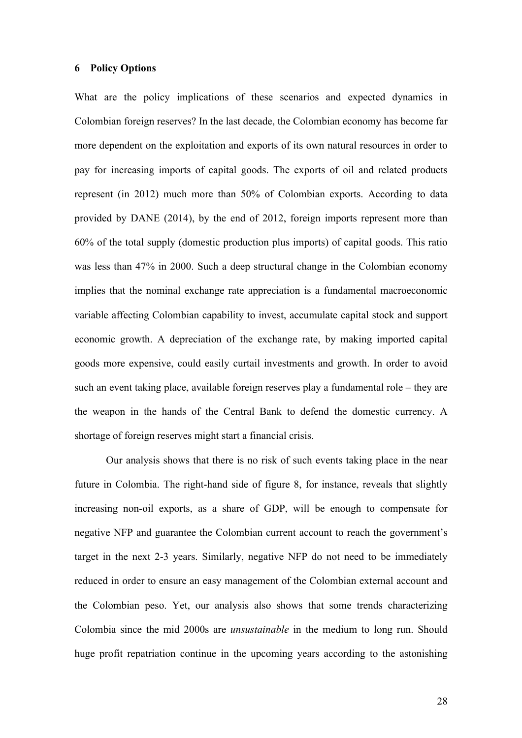# **6 Policy Options**

What are the policy implications of these scenarios and expected dynamics in Colombian foreign reserves? In the last decade, the Colombian economy has become far more dependent on the exploitation and exports of its own natural resources in order to pay for increasing imports of capital goods. The exports of oil and related products represent (in 2012) much more than 50% of Colombian exports. According to data provided by DANE (2014), by the end of 2012, foreign imports represent more than 60% of the total supply (domestic production plus imports) of capital goods. This ratio was less than 47% in 2000. Such a deep structural change in the Colombian economy implies that the nominal exchange rate appreciation is a fundamental macroeconomic variable affecting Colombian capability to invest, accumulate capital stock and support economic growth. A depreciation of the exchange rate, by making imported capital goods more expensive, could easily curtail investments and growth. In order to avoid such an event taking place, available foreign reserves play a fundamental role – they are the weapon in the hands of the Central Bank to defend the domestic currency. A shortage of foreign reserves might start a financial crisis.

Our analysis shows that there is no risk of such events taking place in the near future in Colombia. The right-hand side of figure 8, for instance, reveals that slightly increasing non-oil exports, as a share of GDP, will be enough to compensate for negative NFP and guarantee the Colombian current account to reach the government's target in the next 2-3 years. Similarly, negative NFP do not need to be immediately reduced in order to ensure an easy management of the Colombian external account and the Colombian peso. Yet, our analysis also shows that some trends characterizing Colombia since the mid 2000s are *unsustainable* in the medium to long run. Should huge profit repatriation continue in the upcoming years according to the astonishing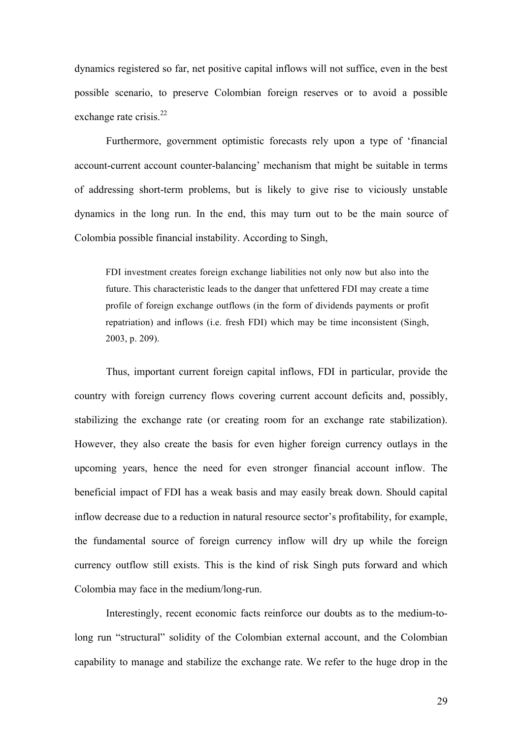dynamics registered so far, net positive capital inflows will not suffice, even in the best possible scenario, to preserve Colombian foreign reserves or to avoid a possible exchange rate crisis. $^{22}$ 

Furthermore, government optimistic forecasts rely upon a type of 'financial account-current account counter-balancing' mechanism that might be suitable in terms of addressing short-term problems, but is likely to give rise to viciously unstable dynamics in the long run. In the end, this may turn out to be the main source of Colombia possible financial instability. According to Singh,

FDI investment creates foreign exchange liabilities not only now but also into the future. This characteristic leads to the danger that unfettered FDI may create a time profile of foreign exchange outflows (in the form of dividends payments or profit repatriation) and inflows (i.e. fresh FDI) which may be time inconsistent (Singh, 2003, p. 209).

Thus, important current foreign capital inflows, FDI in particular, provide the country with foreign currency flows covering current account deficits and, possibly, stabilizing the exchange rate (or creating room for an exchange rate stabilization). However, they also create the basis for even higher foreign currency outlays in the upcoming years, hence the need for even stronger financial account inflow. The beneficial impact of FDI has a weak basis and may easily break down. Should capital inflow decrease due to a reduction in natural resource sector's profitability, for example, the fundamental source of foreign currency inflow will dry up while the foreign currency outflow still exists. This is the kind of risk Singh puts forward and which Colombia may face in the medium/long-run.

Interestingly, recent economic facts reinforce our doubts as to the medium-tolong run "structural" solidity of the Colombian external account, and the Colombian capability to manage and stabilize the exchange rate. We refer to the huge drop in the

29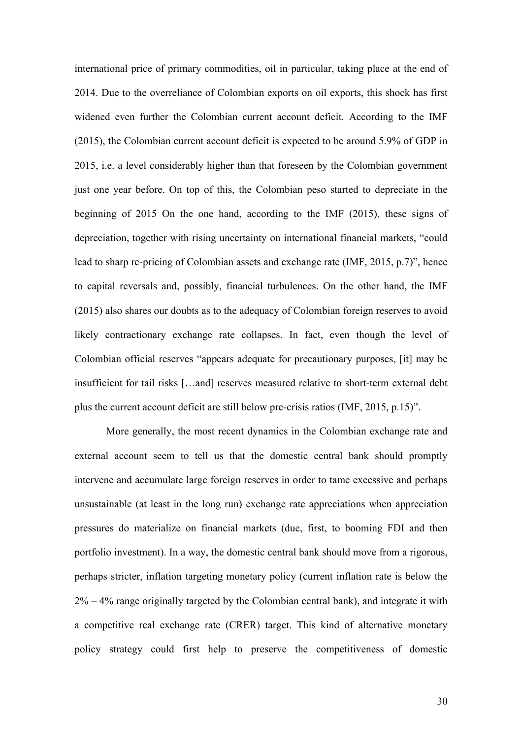international price of primary commodities, oil in particular, taking place at the end of 2014. Due to the overreliance of Colombian exports on oil exports, this shock has first widened even further the Colombian current account deficit. According to the IMF (2015), the Colombian current account deficit is expected to be around 5.9% of GDP in 2015, i.e. a level considerably higher than that foreseen by the Colombian government just one year before. On top of this, the Colombian peso started to depreciate in the beginning of 2015 On the one hand, according to the IMF (2015), these signs of depreciation, together with rising uncertainty on international financial markets, "could lead to sharp re-pricing of Colombian assets and exchange rate (IMF, 2015, p.7)", hence to capital reversals and, possibly, financial turbulences. On the other hand, the IMF (2015) also shares our doubts as to the adequacy of Colombian foreign reserves to avoid likely contractionary exchange rate collapses. In fact, even though the level of Colombian official reserves "appears adequate for precautionary purposes, [it] may be insufficient for tail risks […and] reserves measured relative to short-term external debt plus the current account deficit are still below pre-crisis ratios (IMF, 2015, p.15)".

More generally, the most recent dynamics in the Colombian exchange rate and external account seem to tell us that the domestic central bank should promptly intervene and accumulate large foreign reserves in order to tame excessive and perhaps unsustainable (at least in the long run) exchange rate appreciations when appreciation pressures do materialize on financial markets (due, first, to booming FDI and then portfolio investment). In a way, the domestic central bank should move from a rigorous, perhaps stricter, inflation targeting monetary policy (current inflation rate is below the 2% – 4% range originally targeted by the Colombian central bank), and integrate it with a competitive real exchange rate (CRER) target. This kind of alternative monetary policy strategy could first help to preserve the competitiveness of domestic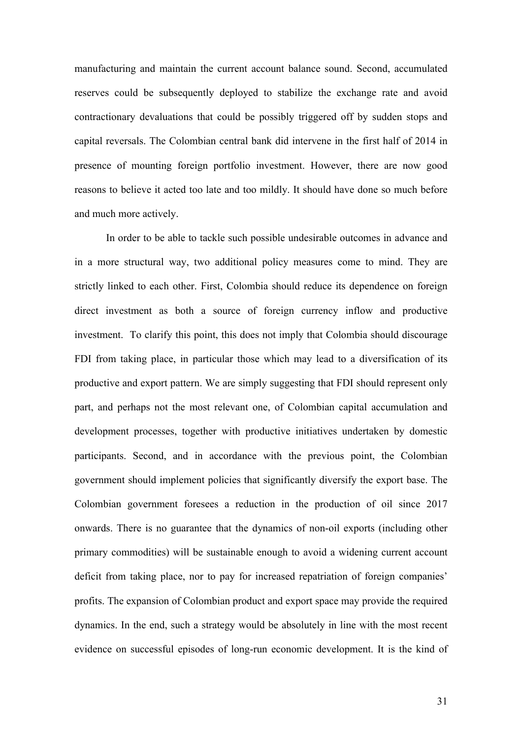manufacturing and maintain the current account balance sound. Second, accumulated reserves could be subsequently deployed to stabilize the exchange rate and avoid contractionary devaluations that could be possibly triggered off by sudden stops and capital reversals. The Colombian central bank did intervene in the first half of 2014 in presence of mounting foreign portfolio investment. However, there are now good reasons to believe it acted too late and too mildly. It should have done so much before and much more actively.

In order to be able to tackle such possible undesirable outcomes in advance and in a more structural way, two additional policy measures come to mind. They are strictly linked to each other. First, Colombia should reduce its dependence on foreign direct investment as both a source of foreign currency inflow and productive investment. To clarify this point, this does not imply that Colombia should discourage FDI from taking place, in particular those which may lead to a diversification of its productive and export pattern. We are simply suggesting that FDI should represent only part, and perhaps not the most relevant one, of Colombian capital accumulation and development processes, together with productive initiatives undertaken by domestic participants. Second, and in accordance with the previous point, the Colombian government should implement policies that significantly diversify the export base. The Colombian government foresees a reduction in the production of oil since 2017 onwards. There is no guarantee that the dynamics of non-oil exports (including other primary commodities) will be sustainable enough to avoid a widening current account deficit from taking place, nor to pay for increased repatriation of foreign companies' profits. The expansion of Colombian product and export space may provide the required dynamics. In the end, such a strategy would be absolutely in line with the most recent evidence on successful episodes of long-run economic development. It is the kind of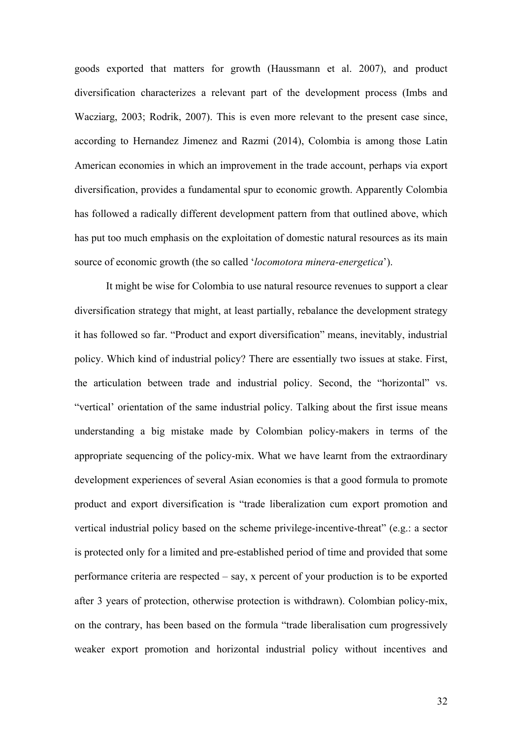goods exported that matters for growth (Haussmann et al. 2007), and product diversification characterizes a relevant part of the development process (Imbs and Wacziarg, 2003; Rodrik, 2007). This is even more relevant to the present case since, according to Hernandez Jimenez and Razmi (2014), Colombia is among those Latin American economies in which an improvement in the trade account, perhaps via export diversification, provides a fundamental spur to economic growth. Apparently Colombia has followed a radically different development pattern from that outlined above, which has put too much emphasis on the exploitation of domestic natural resources as its main source of economic growth (the so called '*locomotora minera-energetica*').

It might be wise for Colombia to use natural resource revenues to support a clear diversification strategy that might, at least partially, rebalance the development strategy it has followed so far. "Product and export diversification" means, inevitably, industrial policy. Which kind of industrial policy? There are essentially two issues at stake. First, the articulation between trade and industrial policy. Second, the "horizontal" vs. "vertical' orientation of the same industrial policy. Talking about the first issue means understanding a big mistake made by Colombian policy-makers in terms of the appropriate sequencing of the policy-mix. What we have learnt from the extraordinary development experiences of several Asian economies is that a good formula to promote product and export diversification is "trade liberalization cum export promotion and vertical industrial policy based on the scheme privilege-incentive-threat" (e.g.: a sector is protected only for a limited and pre-established period of time and provided that some performance criteria are respected – say, x percent of your production is to be exported after 3 years of protection, otherwise protection is withdrawn). Colombian policy-mix, on the contrary, has been based on the formula "trade liberalisation cum progressively weaker export promotion and horizontal industrial policy without incentives and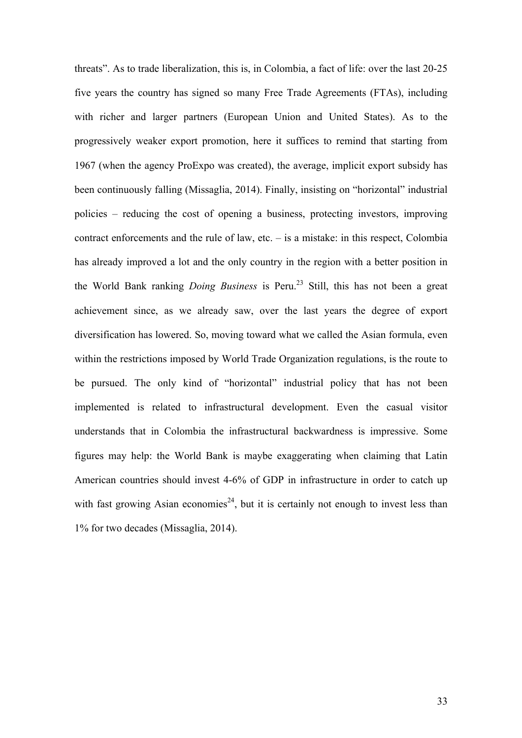threats". As to trade liberalization, this is, in Colombia, a fact of life: over the last 20-25 five years the country has signed so many Free Trade Agreements (FTAs), including with richer and larger partners (European Union and United States). As to the progressively weaker export promotion, here it suffices to remind that starting from 1967 (when the agency ProExpo was created), the average, implicit export subsidy has been continuously falling (Missaglia, 2014). Finally, insisting on "horizontal" industrial policies – reducing the cost of opening a business, protecting investors, improving contract enforcements and the rule of law, etc. – is a mistake: in this respect, Colombia has already improved a lot and the only country in the region with a better position in the World Bank ranking *Doing Business* is Peru. <sup>23</sup> Still, this has not been a great achievement since, as we already saw, over the last years the degree of export diversification has lowered. So, moving toward what we called the Asian formula, even within the restrictions imposed by World Trade Organization regulations, is the route to be pursued. The only kind of "horizontal" industrial policy that has not been implemented is related to infrastructural development. Even the casual visitor understands that in Colombia the infrastructural backwardness is impressive. Some figures may help: the World Bank is maybe exaggerating when claiming that Latin American countries should invest 4-6% of GDP in infrastructure in order to catch up with fast growing Asian economies<sup>24</sup>, but it is certainly not enough to invest less than 1% for two decades (Missaglia, 2014).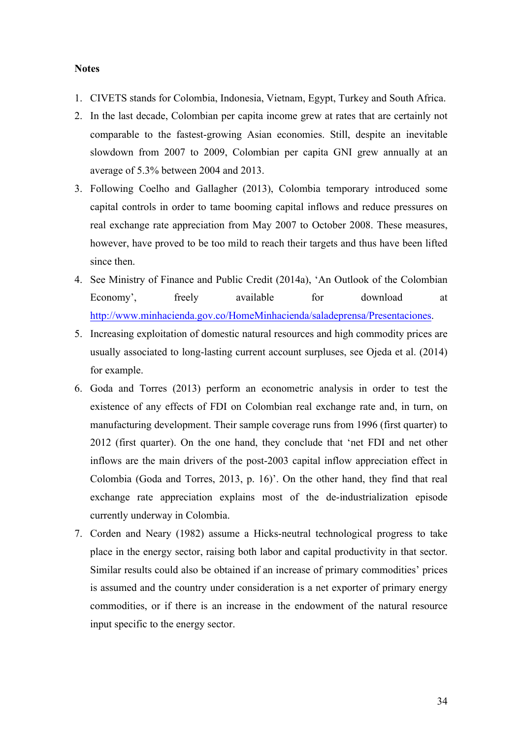# **Notes**

- 1. CIVETS stands for Colombia, Indonesia, Vietnam, Egypt, Turkey and South Africa.
- 2. In the last decade, Colombian per capita income grew at rates that are certainly not comparable to the fastest-growing Asian economies. Still, despite an inevitable slowdown from 2007 to 2009, Colombian per capita GNI grew annually at an average of 5.3% between 2004 and 2013.
- 3. Following Coelho and Gallagher (2013), Colombia temporary introduced some capital controls in order to tame booming capital inflows and reduce pressures on real exchange rate appreciation from May 2007 to October 2008. These measures, however, have proved to be too mild to reach their targets and thus have been lifted since then.
- 4. See Ministry of Finance and Public Credit (2014a), 'An Outlook of the Colombian Economy', freely available for download at http://www.minhacienda.gov.co/HomeMinhacienda/saladeprensa/Presentaciones.
- 5. Increasing exploitation of domestic natural resources and high commodity prices are usually associated to long-lasting current account surpluses, see Ojeda et al. (2014) for example.
- 6. Goda and Torres (2013) perform an econometric analysis in order to test the existence of any effects of FDI on Colombian real exchange rate and, in turn, on manufacturing development. Their sample coverage runs from 1996 (first quarter) to 2012 (first quarter). On the one hand, they conclude that 'net FDI and net other inflows are the main drivers of the post-2003 capital inflow appreciation effect in Colombia (Goda and Torres, 2013, p. 16)'. On the other hand, they find that real exchange rate appreciation explains most of the de-industrialization episode currently underway in Colombia.
- 7. Corden and Neary (1982) assume a Hicks-neutral technological progress to take place in the energy sector, raising both labor and capital productivity in that sector. Similar results could also be obtained if an increase of primary commodities' prices is assumed and the country under consideration is a net exporter of primary energy commodities, or if there is an increase in the endowment of the natural resource input specific to the energy sector.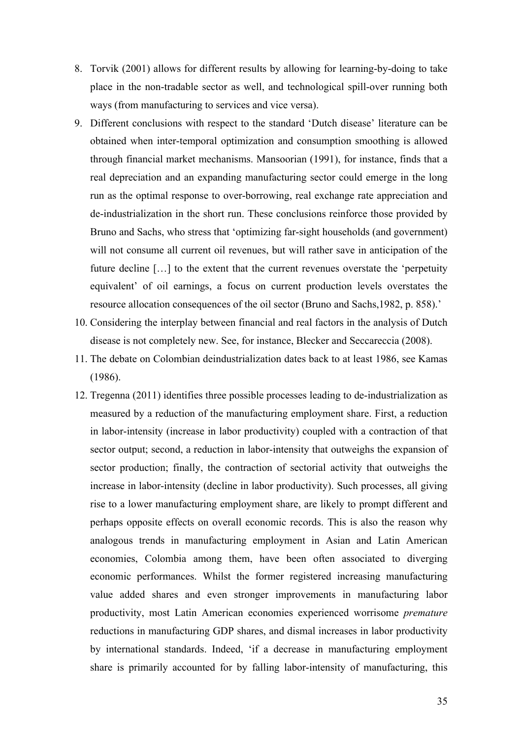- 8. Torvik (2001) allows for different results by allowing for learning-by-doing to take place in the non-tradable sector as well, and technological spill-over running both ways (from manufacturing to services and vice versa).
- 9. Different conclusions with respect to the standard 'Dutch disease' literature can be obtained when inter-temporal optimization and consumption smoothing is allowed through financial market mechanisms. Mansoorian (1991), for instance, finds that a real depreciation and an expanding manufacturing sector could emerge in the long run as the optimal response to over-borrowing, real exchange rate appreciation and de-industrialization in the short run. These conclusions reinforce those provided by Bruno and Sachs, who stress that 'optimizing far-sight households (and government) will not consume all current oil revenues, but will rather save in anticipation of the future decline […] to the extent that the current revenues overstate the 'perpetuity equivalent' of oil earnings, a focus on current production levels overstates the resource allocation consequences of the oil sector (Bruno and Sachs,1982, p. 858).'
- 10. Considering the interplay between financial and real factors in the analysis of Dutch disease is not completely new. See, for instance, Blecker and Seccareccia (2008).
- 11. The debate on Colombian deindustrialization dates back to at least 1986, see Kamas (1986).
- 12. Tregenna (2011) identifies three possible processes leading to de-industrialization as measured by a reduction of the manufacturing employment share. First, a reduction in labor-intensity (increase in labor productivity) coupled with a contraction of that sector output; second, a reduction in labor-intensity that outweighs the expansion of sector production; finally, the contraction of sectorial activity that outweighs the increase in labor-intensity (decline in labor productivity). Such processes, all giving rise to a lower manufacturing employment share, are likely to prompt different and perhaps opposite effects on overall economic records. This is also the reason why analogous trends in manufacturing employment in Asian and Latin American economies, Colombia among them, have been often associated to diverging economic performances. Whilst the former registered increasing manufacturing value added shares and even stronger improvements in manufacturing labor productivity, most Latin American economies experienced worrisome *premature* reductions in manufacturing GDP shares, and dismal increases in labor productivity by international standards. Indeed, 'if a decrease in manufacturing employment share is primarily accounted for by falling labor-intensity of manufacturing, this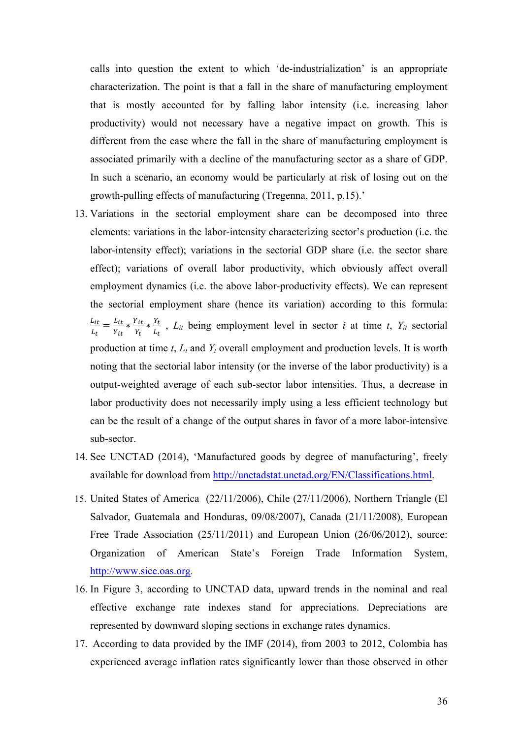calls into question the extent to which 'de-industrialization' is an appropriate characterization. The point is that a fall in the share of manufacturing employment that is mostly accounted for by falling labor intensity (i.e. increasing labor productivity) would not necessary have a negative impact on growth. This is different from the case where the fall in the share of manufacturing employment is associated primarily with a decline of the manufacturing sector as a share of GDP. In such a scenario, an economy would be particularly at risk of losing out on the growth-pulling effects of manufacturing (Tregenna, 2011, p.15).'

- 13. Variations in the sectorial employment share can be decomposed into three elements: variations in the labor-intensity characterizing sector's production (i.e. the labor-intensity effect); variations in the sectorial GDP share (i.e. the sector share effect); variations of overall labor productivity, which obviously affect overall employment dynamics (i.e. the above labor-productivity effects). We can represent the sectorial employment share (hence its variation) according to this formula:  $L_{it}$  $rac{L_{it}}{L_t} = \frac{L_{it}}{Y_{it}}$  $Y_{it}$  $* \frac{Y_{it}}{y}$  $\frac{Y_{it}}{Y_t} * \frac{Y_t}{L_t}$  $\frac{d}{dt}$ ,  $L_{it}$  being employment level in sector *i* at time *t*,  $Y_{it}$  sectorial production at time *t*, *Lt* and *Yt* overall employment and production levels. It is worth noting that the sectorial labor intensity (or the inverse of the labor productivity) is a output-weighted average of each sub-sector labor intensities. Thus, a decrease in labor productivity does not necessarily imply using a less efficient technology but can be the result of a change of the output shares in favor of a more labor-intensive sub-sector.
- 14. See UNCTAD (2014), 'Manufactured goods by degree of manufacturing', freely available for download from http://unctadstat.unctad.org/EN/Classifications.html.
- 15. United States of America (22/11/2006), Chile (27/11/2006), Northern Triangle (El Salvador, Guatemala and Honduras, 09/08/2007), Canada (21/11/2008), European Free Trade Association (25/11/2011) and European Union (26/06/2012), source: Organization of American State's Foreign Trade Information System, http://www.sice.oas.org.
- 16. In Figure 3, according to UNCTAD data, upward trends in the nominal and real effective exchange rate indexes stand for appreciations. Depreciations are represented by downward sloping sections in exchange rates dynamics.
- 17. According to data provided by the IMF (2014), from 2003 to 2012, Colombia has experienced average inflation rates significantly lower than those observed in other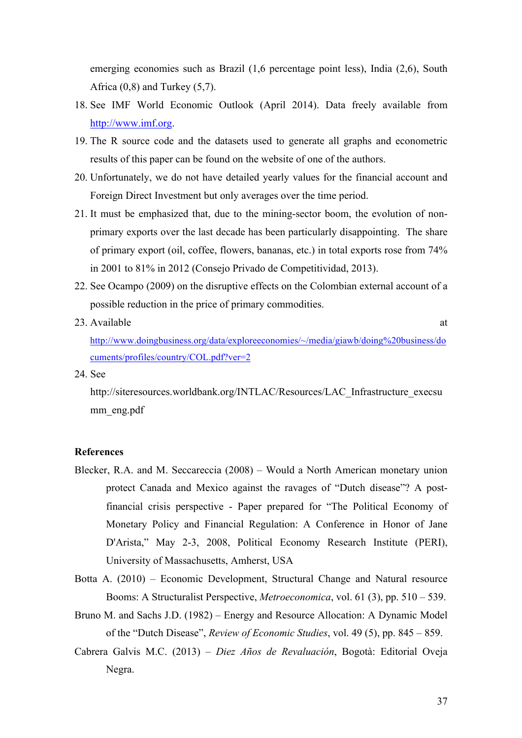emerging economies such as Brazil (1,6 percentage point less), India (2,6), South Africa  $(0,8)$  and Turkey  $(5,7)$ .

- 18. See IMF World Economic Outlook (April 2014). Data freely available from http://www.imf.org.
- 19. The R source code and the datasets used to generate all graphs and econometric results of this paper can be found on the website of one of the authors.
- 20. Unfortunately, we do not have detailed yearly values for the financial account and Foreign Direct Investment but only averages over the time period.
- 21. It must be emphasized that, due to the mining-sector boom, the evolution of nonprimary exports over the last decade has been particularly disappointing. The share of primary export (oil, coffee, flowers, bananas, etc.) in total exports rose from 74% in 2001 to 81% in 2012 (Consejo Privado de Competitividad, 2013).
- 22. See Ocampo (2009) on the disruptive effects on the Colombian external account of a possible reduction in the price of primary commodities.
- $23.$  Available  $\overline{a}$  at  $\overline{a}$  at  $\overline{a}$

http://www.doingbusiness.org/data/exploreeconomies/~/media/giawb/doing%20business/do cuments/profiles/country/COL.pdf?ver=2

24. See

http://siteresources.worldbank.org/INTLAC/Resources/LAC\_Infrastructure\_execsu mm\_eng.pdf

#### **References**

- Blecker, R.A. and M. Seccareccia (2008) Would a North American monetary union protect Canada and Mexico against the ravages of "Dutch disease"? A postfinancial crisis perspective - Paper prepared for "The Political Economy of Monetary Policy and Financial Regulation: A Conference in Honor of Jane D'Arista," May 2-3, 2008, Political Economy Research Institute (PERI), University of Massachusetts, Amherst, USA
- Botta A. (2010) Economic Development, Structural Change and Natural resource Booms: A Structuralist Perspective, *Metroeconomica*, vol. 61 (3), pp. 510 – 539.
- Bruno M. and Sachs J.D. (1982) Energy and Resource Allocation: A Dynamic Model of the "Dutch Disease", *Review of Economic Studies*, vol. 49 (5), pp. 845 – 859.
- Cabrera Galvis M.C. (2013) *Diez Años de Revaluación*, Bogotà: Editorial Oveja Negra.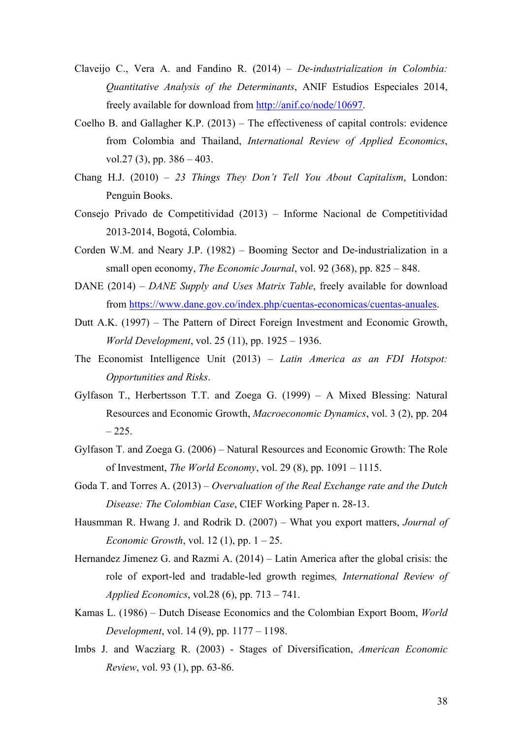- Claveijo C., Vera A. and Fandino R. (2014) *De-industrialization in Colombia: Quantitative Analysis of the Determinants*, ANIF Estudios Especiales 2014, freely available for download from http://anif.co/node/10697.
- Coelho B. and Gallagher K.P. (2013) The effectiveness of capital controls: evidence from Colombia and Thailand, *International Review of Applied Economics*, vol.27 $(3)$ , pp. 386 – 403.
- Chang H.J. (2010) *23 Things They Don't Tell You About Capitalism*, London: Penguin Books.
- Consejo Privado de Competitividad (2013) Informe Nacional de Competitividad 2013-2014, Bogotá, Colombia.
- Corden W.M. and Neary J.P. (1982) Booming Sector and De-industrialization in a small open economy, *The Economic Journal*, vol. 92 (368), pp. 825 – 848.
- DANE (2014) *DANE Supply and Uses Matrix Table*, freely available for download from https://www.dane.gov.co/index.php/cuentas-economicas/cuentas-anuales.
- Dutt A.K. (1997) The Pattern of Direct Foreign Investment and Economic Growth, *World Development*, vol. 25 (11), pp. 1925 – 1936.
- The Economist Intelligence Unit (2013) *Latin America as an FDI Hotspot: Opportunities and Risks*.
- Gylfason T., Herbertsson T.T. and Zoega G. (1999) A Mixed Blessing: Natural Resources and Economic Growth, *Macroeconomic Dynamics*, vol. 3 (2), pp. 204  $-225.$
- Gylfason T. and Zoega G. (2006) Natural Resources and Economic Growth: The Role of Investment, *The World Economy*, vol. 29 (8), pp. 1091 – 1115.
- Goda T. and Torres A. (2013) *Overvaluation of the Real Exchange rate and the Dutch Disease: The Colombian Case*, CIEF Working Paper n. 28-13.
- Hausmman R. Hwang J. and Rodrik D. (2007) What you export matters, *Journal of Economic Growth*, vol. 12 (1), pp. 1 – 25.
- Hernandez Jimenez G. and Razmi A. (2014) Latin America after the global crisis: the role of export-led and tradable-led growth regimes*, International Review of Applied Economics*, vol.28 (6), pp. 713 – 741.
- Kamas L. (1986) Dutch Disease Economics and the Colombian Export Boom, *World Development*, vol. 14 (9), pp. 1177 – 1198.
- Imbs J. and Wacziarg R. (2003) Stages of Diversification, *American Economic Review*, vol. 93 (1), pp. 63-86.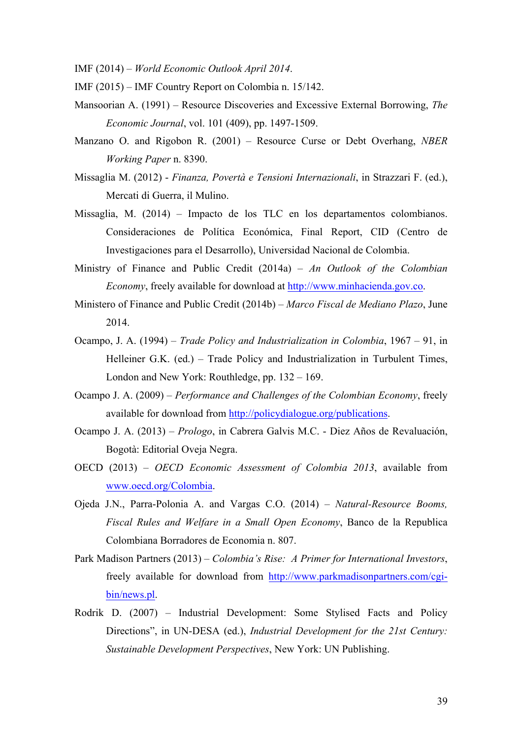- IMF (2014) *World Economic Outlook April 2014*.
- IMF (2015) IMF Country Report on Colombia n. 15/142.
- Mansoorian A. (1991) Resource Discoveries and Excessive External Borrowing, *The Economic Journal*, vol. 101 (409), pp. 1497-1509.
- Manzano O. and Rigobon R. (2001) Resource Curse or Debt Overhang, *NBER Working Paper* n. 8390.
- Missaglia M. (2012) *Finanza, Povertà e Tensioni Internazionali*, in Strazzari F. (ed.), Mercati di Guerra, il Mulino.
- Missaglia, M. (2014) Impacto de los TLC en los departamentos colombianos. Consideraciones de Política Económica, Final Report, CID (Centro de Investigaciones para el Desarrollo), Universidad Nacional de Colombia.
- Ministry of Finance and Public Credit (2014a) *An Outlook of the Colombian Economy*, freely available for download at http://www.minhacienda.gov.co.
- Ministero of Finance and Public Credit (2014b) *Marco Fiscal de Mediano Plazo*, June 2014.
- Ocampo, J. A. (1994) *Trade Policy and Industrialization in Colombia*, 1967 91, in Helleiner G.K. (ed.) – Trade Policy and Industrialization in Turbulent Times, London and New York: Routhledge, pp. 132 – 169.
- Ocampo J. A. (2009) *Performance and Challenges of the Colombian Economy*, freely available for download from http://policydialogue.org/publications.
- Ocampo J. A. (2013) *Prologo*, in Cabrera Galvis M.C. Diez Años de Revaluación, Bogotà: Editorial Oveja Negra.
- OECD (2013) *OECD Economic Assessment of Colombia 2013*, available from www.oecd.org/Colombia.
- Ojeda J.N., Parra-Polonia A. and Vargas C.O. (2014) *Natural-Resource Booms, Fiscal Rules and Welfare in a Small Open Economy*, Banco de la Republica Colombiana Borradores de Economia n. 807.
- Park Madison Partners (2013) *Colombia's Rise: A Primer for International Investors*, freely available for download from http://www.parkmadisonpartners.com/cgibin/news.pl.
- Rodrik D. (2007) Industrial Development: Some Stylised Facts and Policy Directions", in UN-DESA (ed.), *Industrial Development for the 21st Century: Sustainable Development Perspectives*, New York: UN Publishing.